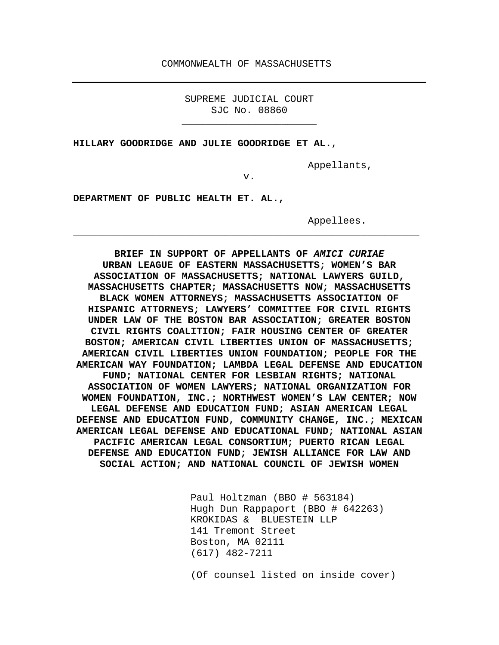#### COMMONWEALTH OF MASSACHUSETTS

SUPREME JUDICIAL COURT SJC No. 08860

**\_\_\_\_\_\_\_\_\_\_\_\_\_\_\_\_\_\_\_\_\_\_\_**

**HILLARY GOODRIDGE AND JULIE GOODRIDGE ET AL.**,

Appellants,

v.

**\_\_\_\_\_\_\_\_\_\_\_\_\_\_\_\_\_\_\_\_\_\_\_\_\_\_\_\_\_\_\_\_\_\_\_\_\_\_\_\_\_\_\_\_\_\_\_\_\_\_\_\_\_\_\_\_\_\_\_**

**DEPARTMENT OF PUBLIC HEALTH ET. AL.,** 

Appellees.

**BRIEF IN SUPPORT OF APPELLANTS OF** *AMICI CURIAE* **URBAN LEAGUE OF EASTERN MASSACHUSETTS; WOMEN'S BAR ASSOCIATION OF MASSACHUSETTS; NATIONAL LAWYERS GUILD, MASSACHUSETTS CHAPTER; MASSACHUSETTS NOW; MASSACHUSETTS BLACK WOMEN ATTORNEYS; MASSACHUSETTS ASSOCIATION OF HISPANIC ATTORNEYS; LAWYERS' COMMITTEE FOR CIVIL RIGHTS UNDER LAW OF THE BOSTON BAR ASSOCIATION; GREATER BOSTON CIVIL RIGHTS COALITION; FAIR HOUSING CENTER OF GREATER BOSTON; AMERICAN CIVIL LIBERTIES UNION OF MASSACHUSETTS; AMERICAN CIVIL LIBERTIES UNION FOUNDATION; PEOPLE FOR THE AMERICAN WAY FOUNDATION; LAMBDA LEGAL DEFENSE AND EDUCATION FUND; NATIONAL CENTER FOR LESBIAN RIGHTS; NATIONAL ASSOCIATION OF WOMEN LAWYERS; NATIONAL ORGANIZATION FOR WOMEN FOUNDATION, INC.; NORTHWEST WOMEN'S LAW CENTER; NOW LEGAL DEFENSE AND EDUCATION FUND; ASIAN AMERICAN LEGAL DEFENSE AND EDUCATION FUND, COMMUNITY CHANGE, INC.; MEXICAN AMERICAN LEGAL DEFENSE AND EDUCATIONAL FUND; NATIONAL ASIAN PACIFIC AMERICAN LEGAL CONSORTIUM; PUERTO RICAN LEGAL DEFENSE AND EDUCATION FUND; JEWISH ALLIANCE FOR LAW AND SOCIAL ACTION; AND NATIONAL COUNCIL OF JEWISH WOMEN**

> Paul Holtzman (BBO # 563184) Hugh Dun Rappaport (BBO # 642263) KROKIDAS & BLUESTEIN LLP 141 Tremont Street Boston, MA 02111 (617) 482-7211

(Of counsel listed on inside cover)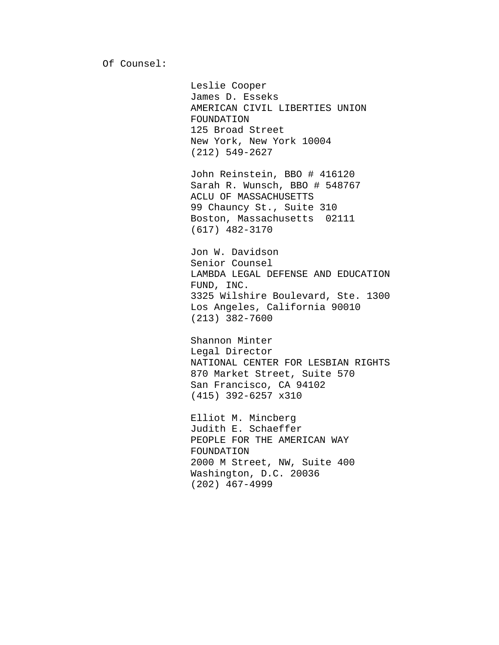Leslie Cooper James D. Esseks AMERICAN CIVIL LIBERTIES UNION FOUNDATION 125 Broad Street New York, New York 10004 (212) 549-2627

John Reinstein, BBO # 416120 Sarah R. Wunsch, BBO # 548767 ACLU OF MASSACHUSETTS 99 Chauncy St., Suite 310 Boston, Massachusetts 02111 (617) 482-3170

Jon W. Davidson Senior Counsel LAMBDA LEGAL DEFENSE AND EDUCATION FUND, INC. 3325 Wilshire Boulevard, Ste. 1300 Los Angeles, California 90010 (213) 382-7600

Shannon Minter Legal Director NATIONAL CENTER FOR LESBIAN RIGHTS 870 Market Street, Suite 570 San Francisco, CA 94102 (415) 392-6257 x310

Elliot M. Mincberg Judith E. Schaeffer PEOPLE FOR THE AMERICAN WAY FOUNDATION 2000 M Street, NW, Suite 400 Washington, D.C. 20036 (202) 467-4999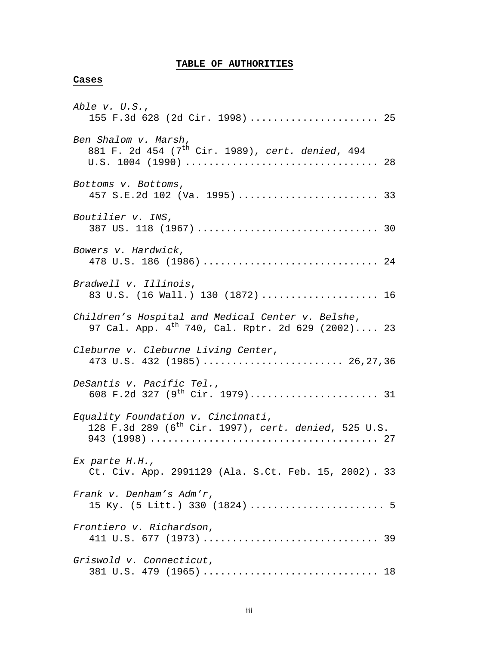## **TABLE OF AUTHORITIES**

### **Cases**

| Able v. U.S.,<br>155 F.3d 628 (2d Cir. 1998)  25                                                            |
|-------------------------------------------------------------------------------------------------------------|
| Ben Shalom v. Marsh,<br>881 F. 2d 454 (7 <sup>th</sup> Cir. 1989), cert. denied, 494                        |
| Bottoms v. Bottoms,<br>457 S.E.2d 102 (Va. 1995)  33                                                        |
| Boutilier v. INS,                                                                                           |
| Bowers v. Hardwick,<br>478 U.S. 186 (1986)  24                                                              |
| Bradwell v. Illinois,<br>83 U.S. (16 Wall.) 130 (1872)  16                                                  |
| Children's Hospital and Medical Center v. Belshe,<br>97 Cal. App. $4^{th}$ 740, Cal. Rptr. 2d 629 (2002) 23 |
| Cleburne v. Cleburne Living Center,<br>473 U.S. 432 (1985)  26,27,36                                        |
| DeSantis v. Pacific Tel.,                                                                                   |
| Equality Foundation v. Cincinnati,<br>128 F.3d 289 (6 <sup>th</sup> Cir. 1997), cert. denied, 525 U.S.      |
| Ex parte H.H.,<br>Ct. Civ. App. 2991129 (Ala. S.Ct. Feb. 15, 2002). 33                                      |
| Frank v. Denham's Adm'r,<br>15 Ky. (5 Litt.) 330 (1824)  5                                                  |
| Frontiero v. Richardson,                                                                                    |
| Griswold v. Connecticut,<br>381 U.S. 479 (1965)  18                                                         |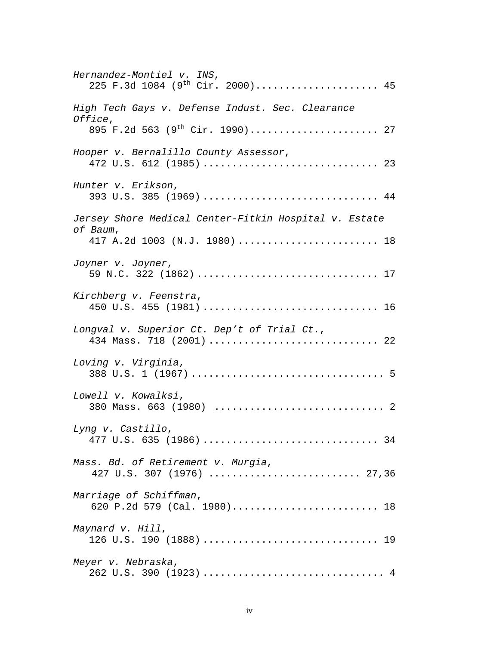| Hernandez-Montiel v. INS,<br>225 F.3d 1084 (9 <sup>th</sup> Cir. 2000) 45                                         |
|-------------------------------------------------------------------------------------------------------------------|
| High Tech Gays v. Defense Indust. Sec. Clearance<br><i>Office,</i><br>895 F.2d 563 (9 <sup>th</sup> Cir. 1990) 27 |
|                                                                                                                   |
| Hooper v. Bernalillo County Assessor,                                                                             |
| Hunter v. Erikson,<br>393 U.S. 385 (1969)  44                                                                     |
| Jersey Shore Medical Center-Fitkin Hospital v. Estate                                                             |
| of Baum,<br>417 A.2d 1003 (N.J. 1980)  18                                                                         |
| Joyner v. Joyner,<br>59 N.C. 322 (1862)  17                                                                       |
| Kirchberg v. Feenstra,                                                                                            |
| Longval v. Superior Ct. Dep't of Trial Ct.,<br>434 Mass. 718 (2001)  22                                           |
| Loving v. Virginia,                                                                                               |
| Lowell v. Kowalksi,<br>380 Mass. 663 (1980)  2                                                                    |
| Lyng v. Castillo,                                                                                                 |
| Mass. Bd. of Retirement v. Murgia,<br>427 U.S. 307 (1976)  27,36                                                  |
| Marriage of Schiffman,<br>620 P.2d 579 (Cal. 1980) 18                                                             |
| Maynard v. Hill,                                                                                                  |
| Meyer v. Nebraska,                                                                                                |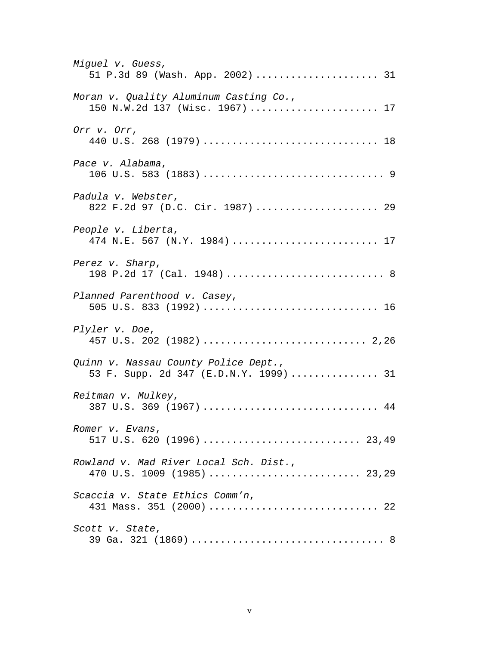| Miguel v. Guess,<br>51 P.3d 89 (Wash. App. 2002)  31                           |
|--------------------------------------------------------------------------------|
| Moran v. Quality Aluminum Casting Co.,<br>150 N.W.2d 137 (Wisc. 1967)  17      |
| Orr v. Orr,<br>440 U.S. 268 (1979)  18                                         |
| Pace v. Alabama,                                                               |
| Padula v. Webster,<br>822 F.2d 97 (D.C. Cir. 1987)  29                         |
| People v. Liberta,<br>474 N.E. 567 (N.Y. 1984)  17                             |
| Perez v. Sharp,<br>198 P.2d 17 (Cal. 1948)  8                                  |
| Planned Parenthood v. Casey,<br>505 U.S. 833 (1992)  16                        |
| Plyler v. Doe,                                                                 |
| Quinn v. Nassau County Police Dept.,<br>53 F. Supp. 2d 347 (E.D.N.Y. 1999)  31 |
| Reitman v. Mulkey,<br>387 U.S. 369 (1967)  44                                  |
| Romer v. Evans,<br>517 U.S. 620 (1996)  23,49                                  |
| Rowland v. Mad River Local Sch. Dist.,<br>470 U.S. 1009 (1985)  23,29          |
| Scaccia v. State Ethics Comm'n,<br>431 Mass. 351 (2000)  22                    |
| Scott v. State,                                                                |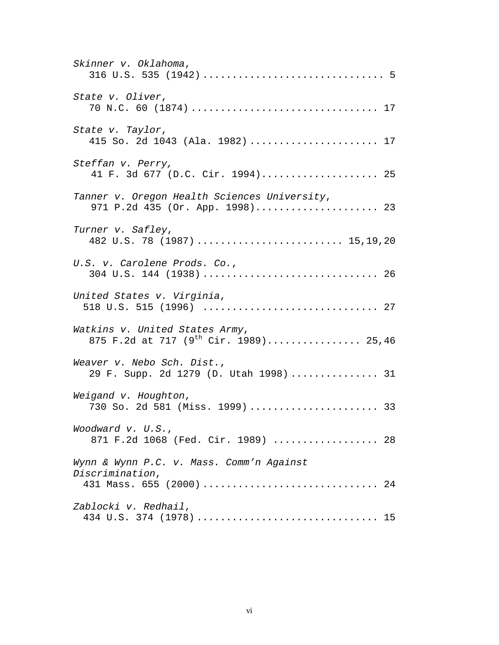| Skinner v. Oklahoma,                                                                    |
|-----------------------------------------------------------------------------------------|
| State v. Oliver,                                                                        |
| State v. Taylor,<br>415 So. 2d 1043 (Ala. 1982)  17                                     |
| Steffan v. Perry,<br>41 F. 3d 677 (D.C. Cir. 1994) 25                                   |
| Tanner v. Oregon Health Sciences University,<br>971 P.2d 435 (Or. App. 1998) 23         |
| Turner v. Safley,<br>482 U.S. 78 (1987)  15,19,20                                       |
| U.S. v. Carolene Prods. Co.,                                                            |
| United States v. Virginia,                                                              |
| Watkins v. United States Army,<br>875 F.2d at 717 (9 <sup>th</sup> Cir. 1989) 25,46     |
| Weaver v. Nebo Sch. Dist.,<br>29 F. Supp. 2d 1279 (D. Utah 1998)  31                    |
| Weigand v. Houghton,<br>730 So. 2d 581 (Miss. 1999)  33                                 |
| Woodward v. U.S.,<br>871 F.2d 1068 (Fed. Cir. 1989)  28                                 |
| Wynn & Wynn P.C. v. Mass. Comm'n Against<br>Discrimination,<br>431 Mass. 655 (2000)  24 |
| Zablocki v. Redhail,                                                                    |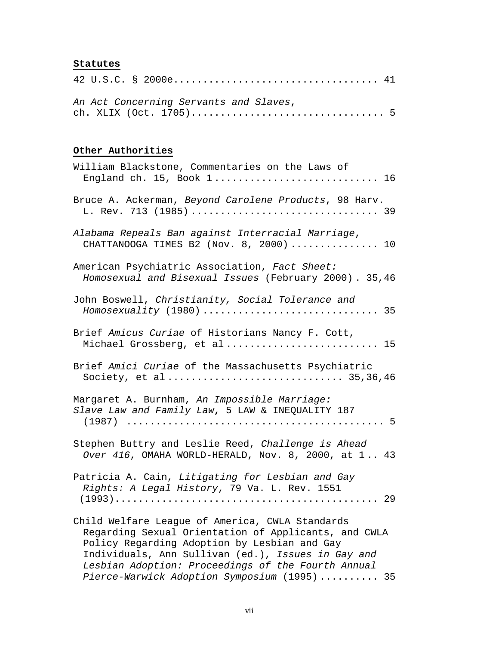# **Statutes**

|  |  | An Act Concerning Servants and Slaves, |  |  |
|--|--|----------------------------------------|--|--|

# **Other Authorities**

| William Blackstone, Commentaries on the Laws of<br>England ch. 15, Book 1 16                                                                                                                                                                                                                                        |
|---------------------------------------------------------------------------------------------------------------------------------------------------------------------------------------------------------------------------------------------------------------------------------------------------------------------|
| Bruce A. Ackerman, Beyond Carolene Products, 98 Harv.<br>L. Rev. 713 (1985)  39                                                                                                                                                                                                                                     |
| Alabama Repeals Ban against Interracial Marriage,<br>CHATTANOOGA TIMES B2 (Nov. 8, 2000) 10                                                                                                                                                                                                                         |
| American Psychiatric Association, Fact Sheet:<br>Homosexual and Bisexual Issues (February 2000). 35,46                                                                                                                                                                                                              |
| John Boswell, Christianity, Social Tolerance and                                                                                                                                                                                                                                                                    |
| Brief Amicus Curiae of Historians Nancy F. Cott,<br>Michael Grossberg, et al 15                                                                                                                                                                                                                                     |
| Brief Amici Curiae of the Massachusetts Psychiatric<br>Society, et al 35,36,46                                                                                                                                                                                                                                      |
| Margaret A. Burnham, An Impossible Marriage:<br>Slave Law and Family Law, 5 LAW & INEQUALITY 187                                                                                                                                                                                                                    |
| Stephen Buttry and Leslie Reed, Challenge is Ahead<br>Over 416, OMAHA WORLD-HERALD, Nov. 8, 2000, at $1 43$                                                                                                                                                                                                         |
| Patricia A. Cain, Litigating for Lesbian and Gay<br>Rights: A Legal History, 79 Va. L. Rev. 1551                                                                                                                                                                                                                    |
| Child Welfare League of America, CWLA Standards<br>Regarding Sexual Orientation of Applicants, and CWLA<br>Policy Regarding Adoption by Lesbian and Gay<br>Individuals, Ann Sullivan (ed.), Issues in Gay and<br>Lesbian Adoption: Proceedings of the Fourth Annual<br>Pierce-Warwick Adoption Symposium (1995)  35 |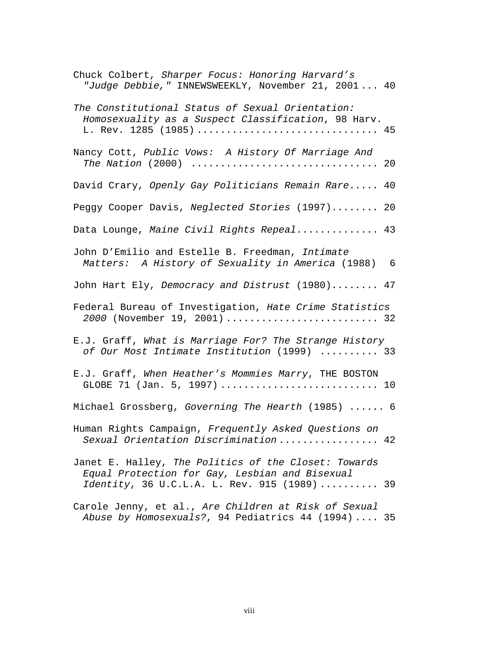| Chuck Colbert, Sharper Focus: Honoring Harvard's<br>"Judge Debbie," INNEWSWEEKLY, November 21, 2001 40                                                 |
|--------------------------------------------------------------------------------------------------------------------------------------------------------|
| The Constitutional Status of Sexual Orientation:<br>Homosexuality as a Suspect Classification, 98 Harv.<br>L. Rev. 1285 (1985)  45                     |
| Nancy Cott, Public Vows: A History Of Marriage And                                                                                                     |
| David Crary, Openly Gay Politicians Remain Rare 40                                                                                                     |
| Peggy Cooper Davis, Neglected Stories (1997) 20                                                                                                        |
| Data Lounge, Maine Civil Rights Repeal 43                                                                                                              |
| John D'Emilio and Estelle B. Freedman, Intimate<br>Matters: A History of Sexuality in America (1988) 6                                                 |
| John Hart Ely, Democracy and Distrust (1980) 47                                                                                                        |
| Federal Bureau of Investigation, Hate Crime Statistics<br>2000 (November 19, 2001)  32                                                                 |
| E.J. Graff, What is Marriage For? The Strange History<br>of Our Most Intimate Institution (1999)  33                                                   |
| E.J. Graff, When Heather's Mommies Marry, THE BOSTON<br>GLOBE 71 (Jan. 5, 1997)  10                                                                    |
| Michael Grossberg, Governing The Hearth (1985)  6                                                                                                      |
| Human Rights Campaign, Frequently Asked Questions on<br>Sexual Orientation Discrimination 42                                                           |
| Janet E. Halley, The Politics of the Closet: Towards<br>Equal Protection for Gay, Lesbian and Bisexual<br>Identity, 36 U.C.L.A. L. Rev. 915 (1989)  39 |
| Carole Jenny, et al., Are Children at Risk of Sexual<br>Abuse by Homosexuals?, 94 Pediatrics 44 (1994) 35                                              |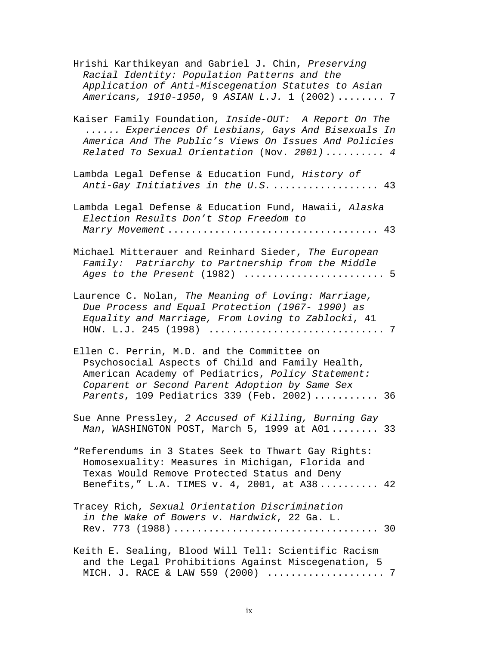| Hrishi Karthikeyan and Gabriel J. Chin, Preserving<br>Racial Identity: Population Patterns and the<br>Application of Anti-Miscegenation Statutes to Asian<br>Americans, 1910-1950, 9 ASIAN L.J. 1 (2002) 7                                           |
|------------------------------------------------------------------------------------------------------------------------------------------------------------------------------------------------------------------------------------------------------|
| Kaiser Family Foundation, Inside-OUT: A Report On The<br>Experiences Of Lesbians, Gays And Bisexuals In<br>America And The Public's Views On Issues And Policies<br>Related To Sexual Orientation (Nov. 2001)  4                                     |
| Lambda Legal Defense & Education Fund, History of<br>Anti-Gay Initiatives in the U.S.  43                                                                                                                                                            |
| Lambda Legal Defense & Education Fund, Hawaii, Alaska<br>Election Results Don't Stop Freedom to                                                                                                                                                      |
| Michael Mitterauer and Reinhard Sieder, The European<br>Family: Patriarchy to Partnership from the Middle                                                                                                                                            |
| Laurence C. Nolan, The Meaning of Loving: Marriage,<br>Due Process and Equal Protection (1967- 1990) as<br>Equality and Marriage, From Loving to Zablocki, 41                                                                                        |
| Ellen C. Perrin, M.D. and the Committee on<br>Psychosocial Aspects of Child and Family Health,<br>American Academy of Pediatrics, Policy Statement:<br>Coparent or Second Parent Adoption by Same Sex<br>Parents, 109 Pediatrics 339 (Feb. 2002)  36 |
| Sue Anne Pressley, 2 Accused of Killing, Burning Gay<br>Man, WASHINGTON POST, March 5, 1999 at A01 33                                                                                                                                                |
| "Referendums in 3 States Seek to Thwart Gay Rights:<br>Homosexuality: Measures in Michigan, Florida and<br>Texas Would Remove Protected Status and Deny<br>Benefits," L.A. TIMES v. 4, 2001, at A38 42                                               |
| Tracey Rich, Sexual Orientation Discrimination<br>in the Wake of Bowers v. Hardwick, 22 Ga. L.                                                                                                                                                       |
| Keith E. Sealing, Blood Will Tell: Scientific Racism<br>and the Legal Prohibitions Against Miscegenation, 5<br>MICH. J. RACE & LAW 559 (2000)  7                                                                                                     |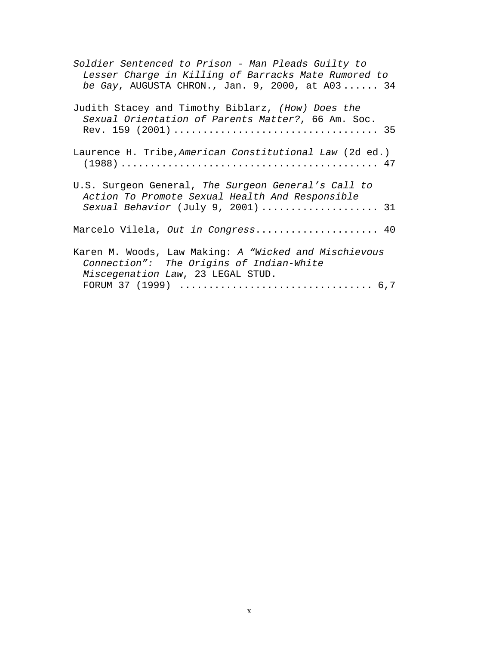| Soldier Sentenced to Prison - Man Pleads Guilty to<br>Lesser Charge in Killing of Barracks Mate Rumored to<br>be Gay, AUGUSTA CHRON., Jan. 9, 2000, at A03 34 |
|---------------------------------------------------------------------------------------------------------------------------------------------------------------|
| Judith Stacey and Timothy Biblarz, (How) Does the<br>Sexual Orientation of Parents Matter?, 66 Am. Soc.                                                       |
| Laurence H. Tribe, American Constitutional Law (2d ed.)                                                                                                       |
| U.S. Surgeon General, The Surgeon General's Call to<br>Action To Promote Sexual Health And Responsible<br>Sexual Behavior (July 9, 2001)  31                  |
| Marcelo Vilela, Out in Congress 40                                                                                                                            |
| Karen M. Woods, Law Making: A "Wicked and Mischievous<br>Connection": The Origins of Indian-White<br>Miscegenation Law, 23 LEGAL STUD.                        |
|                                                                                                                                                               |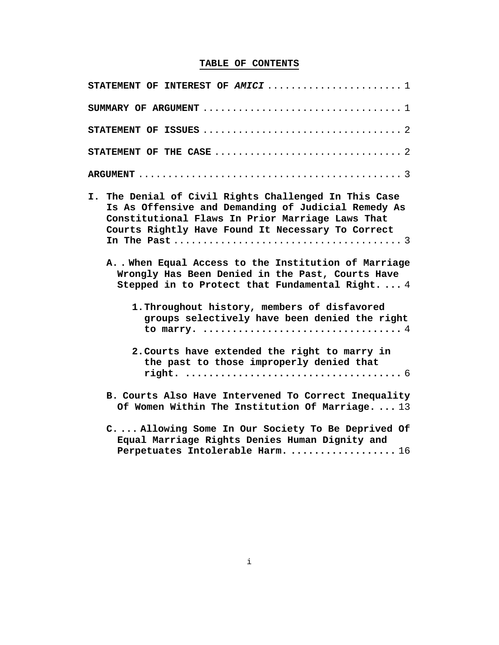# **TABLE OF CONTENTS**

| STATEMENT OF INTEREST OF AMICI $1$                                                                                                                                                                                    |
|-----------------------------------------------------------------------------------------------------------------------------------------------------------------------------------------------------------------------|
| SUMMARY OF ARGUMENT $\ldots \ldots \ldots \ldots \ldots \ldots \ldots \ldots \ldots \ldots \ldots 1$                                                                                                                  |
|                                                                                                                                                                                                                       |
|                                                                                                                                                                                                                       |
|                                                                                                                                                                                                                       |
| I. The Denial of Civil Rights Challenged In This Case<br>Is As Offensive and Demanding of Judicial Remedy As<br>Constitutional Flaws In Prior Marriage Laws That<br>Courts Rightly Have Found It Necessary To Correct |
| AWhen Equal Access to the Institution of Marriage<br>Wrongly Has Been Denied in the Past, Courts Have<br>Stepped in to Protect that Fundamental Right 4                                                               |
| 1. Throughout history, members of disfavored<br>groups selectively have been denied the right                                                                                                                         |
| 2. Courts have extended the right to marry in<br>the past to those improperly denied that                                                                                                                             |
| B. Courts Also Have Intervened To Correct Inequality<br>Of Women Within The Institution Of Marriage.  13                                                                                                              |
| C Allowing Some In Our Society To Be Deprived Of<br>Equal Marriage Rights Denies Human Dignity and                                                                                                                    |

**Perpetuates Intolerable Harm. ..................** 16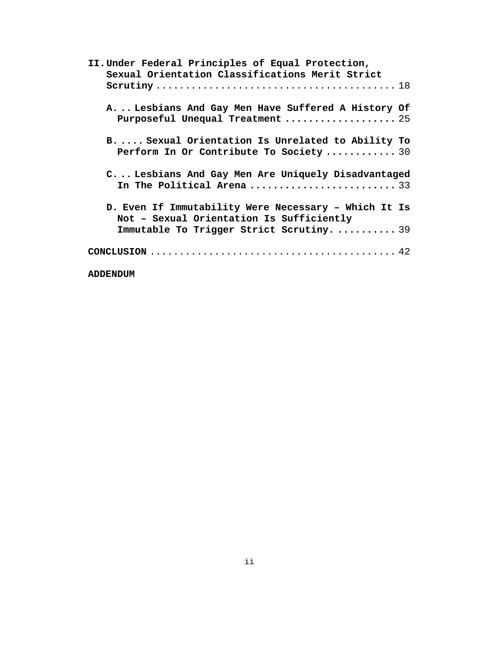| II. Under Federal Principles of Equal Protection,    |
|------------------------------------------------------|
| Sexual Orientation Classifications Merit Strict      |
|                                                      |
|                                                      |
| A Lesbians And Gay Men Have Suffered A History Of    |
| Purposeful Unequal Treatment  25                     |
|                                                      |
| BSexual Orientation Is Unrelated to Ability To       |
| Perform In Or Contribute To Society 30               |
|                                                      |
| C Lesbians And Gay Men Are Uniquely Disadvantaged    |
| In The Political Arena  33                           |
|                                                      |
| D. Even If Immutability Were Necessary - Which It Is |
| Not - Sexual Orientation Is Sufficiently             |
| Immutable To Trigger Strict Scrutiny.  39            |
|                                                      |
|                                                      |
|                                                      |
| <b>ADDENDUM</b>                                      |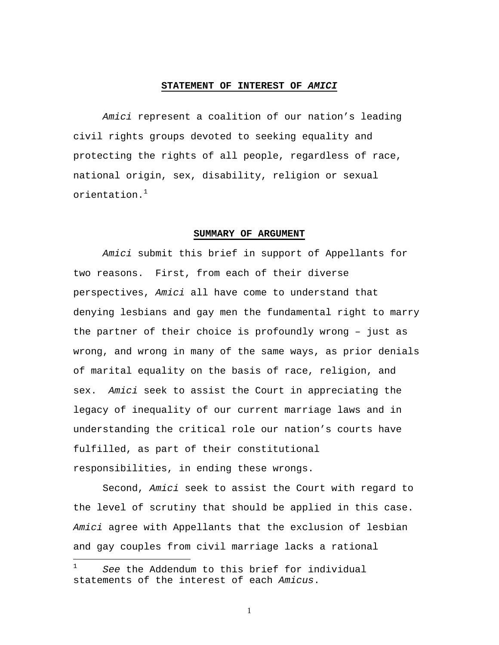#### **STATEMENT OF INTEREST OF** *AMICI*

*Amici* represent a coalition of our nation's leading civil rights groups devoted to seeking equality and protecting the rights of all people, regardless of race, national origin, sex, disability, religion or sexual  $\alpha$ rientation $^{-1}$ 

#### **SUMMARY OF ARGUMENT**

*Amici* submit this brief in support of Appellants for two reasons. First, from each of their diverse perspectives, *Amici* all have come to understand that denying lesbians and gay men the fundamental right to marry the partner of their choice is profoundly wrong – just as wrong, and wrong in many of the same ways, as prior denials of marital equality on the basis of race, religion, and sex. *Amici* seek to assist the Court in appreciating the legacy of inequality of our current marriage laws and in understanding the critical role our nation's courts have fulfilled, as part of their constitutional responsibilities, in ending these wrongs.

Second, *Amici* seek to assist the Court with regard to the level of scrutiny that should be applied in this case. *Amici* agree with Appellants that the exclusion of lesbian and gay couples from civil marriage lacks a rational

 $\overline{a}$ 

See the Addendum to this brief for individual statements of the interest of each *Amicus*.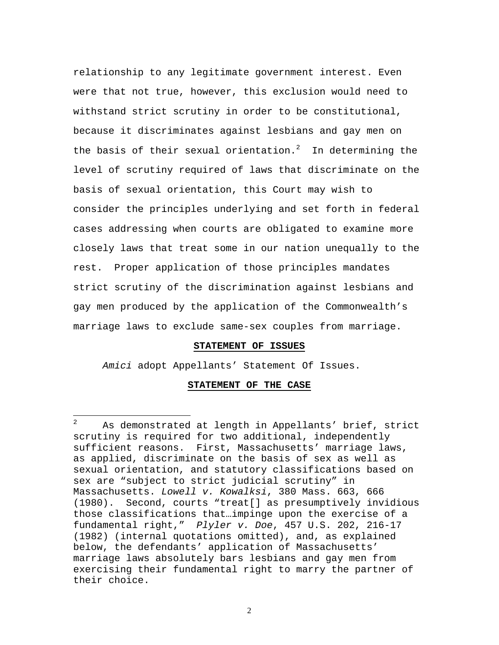relationship to any legitimate government interest. Even were that not true, however, this exclusion would need to withstand strict scrutiny in order to be constitutional, because it discriminates against lesbians and gay men on the basis of their sexual orientation.<sup>2</sup> In determining the level of scrutiny required of laws that discriminate on the basis of sexual orientation, this Court may wish to consider the principles underlying and set forth in federal cases addressing when courts are obligated to examine more closely laws that treat some in our nation unequally to the rest. Proper application of those principles mandates strict scrutiny of the discrimination against lesbians and gay men produced by the application of the Commonwealth's marriage laws to exclude same-sex couples from marriage.

#### **STATEMENT OF ISSUES**

*Amici* adopt Appellants' Statement Of Issues.

 $\overline{a}$ 

#### **STATEMENT OF THE CASE**

 $2^2$  As demonstrated at length in Appellants' brief, strict scrutiny is required for two additional, independently sufficient reasons. First, Massachusetts' marriage laws, as applied, discriminate on the basis of sex as well as sexual orientation, and statutory classifications based on sex are "subject to strict judicial scrutiny" in Massachusetts. *Lowell v. Kowalksi*, 380 Mass. 663, 666 (1980). Second, courts "treat[] as presumptively invidious those classifications that…impinge upon the exercise of a fundamental right," *Plyler v. Doe*, 457 U.S. 202, 216-17 (1982) (internal quotations omitted), and, as explained below, the defendants' application of Massachusetts' marriage laws absolutely bars lesbians and gay men from exercising their fundamental right to marry the partner of their choice.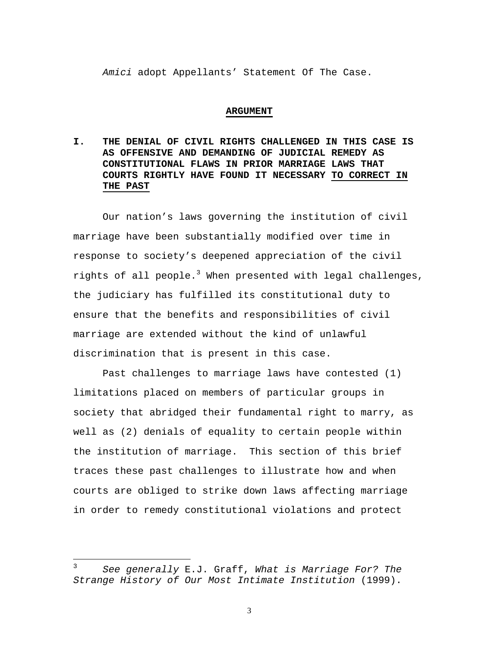*Amici* adopt Appellants' Statement Of The Case.

#### **ARGUMENT**

**I. THE DENIAL OF CIVIL RIGHTS CHALLENGED IN THIS CASE IS AS OFFENSIVE AND DEMANDING OF JUDICIAL REMEDY AS CONSTITUTIONAL FLAWS IN PRIOR MARRIAGE LAWS THAT COURTS RIGHTLY HAVE FOUND IT NECESSARY TO CORRECT IN THE PAST**

Our nation's laws governing the institution of civil marriage have been substantially modified over time in response to society's deepened appreciation of the civil rights of all people. $3$  When presented with legal challenges, the judiciary has fulfilled its constitutional duty to ensure that the benefits and responsibilities of civil marriage are extended without the kind of unlawful discrimination that is present in this case.

Past challenges to marriage laws have contested (1) limitations placed on members of particular groups in society that abridged their fundamental right to marry, as well as (2) denials of equality to certain people within the institution of marriage. This section of this brief traces these past challenges to illustrate how and when courts are obliged to strike down laws affecting marriage in order to remedy constitutional violations and protect

 $\overline{a}$ 

<sup>3</sup> *See generally* E.J. Graff, *What is Marriage For? The Strange History of Our Most Intimate Institution* (1999).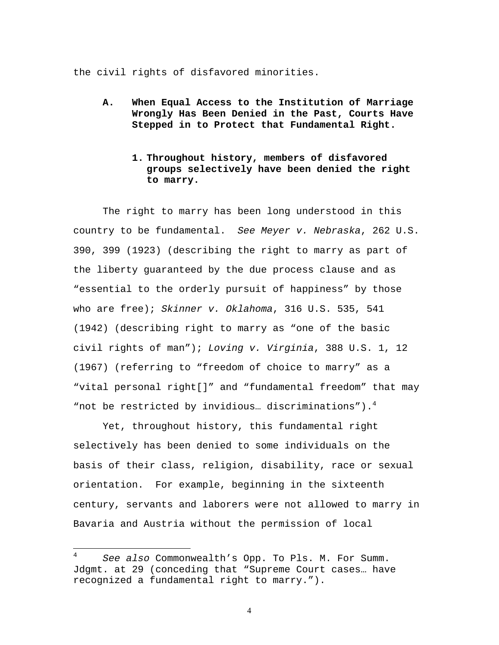the civil rights of disfavored minorities.

- **A. When Equal Access to the Institution of Marriage Wrongly Has Been Denied in the Past, Courts Have Stepped in to Protect that Fundamental Right.**
	- **1. Throughout history, members of disfavored groups selectively have been denied the right to marry.**

The right to marry has been long understood in this country to be fundamental. *See Meyer v. Nebraska*, 262 U.S. 390, 399 (1923) (describing the right to marry as part of the liberty guaranteed by the due process clause and as "essential to the orderly pursuit of happiness" by those who are free); *Skinner v. Oklahoma*, 316 U.S. 535, 541 (1942) (describing right to marry as "one of the basic civil rights of man"); *Loving v. Virginia*, 388 U.S. 1, 12 (1967) (referring to "freedom of choice to marry" as a "vital personal right[]" and "fundamental freedom" that may "not be restricted by invidious... discriminations"). $4$ 

Yet, throughout history, this fundamental right selectively has been denied to some individuals on the basis of their class, religion, disability, race or sexual orientation. For example, beginning in the sixteenth century, servants and laborers were not allowed to marry in Bavaria and Austria without the permission of local

 $\overline{4}$ <sup>4</sup> *See also* Commonwealth's Opp. To Pls. M. For Summ. Jdgmt. at 29 (conceding that "Supreme Court cases… have recognized a fundamental right to marry.").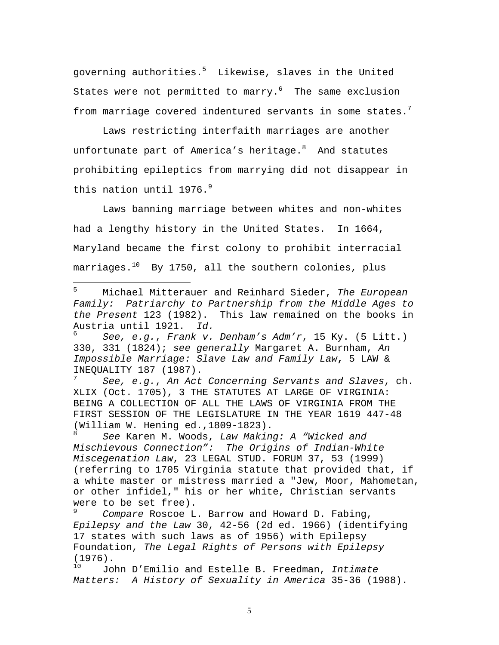governing authorities.<sup>5</sup> Likewise, slaves in the United States were not permitted to marry. $6$  The same exclusion from marriage covered indentured servants in some states. $7$ 

Laws restricting interfaith marriages are another unfortunate part of America's heritage. $8$  And statutes prohibiting epileptics from marrying did not disappear in this nation until 1976.<sup>9</sup>

Laws banning marriage between whites and non-whites had a lengthy history in the United States. In 1664, Maryland became the first colony to prohibit interracial marriages. $10$  By 1750, all the southern colonies, plus

5 <sup>5</sup> Michael Mitterauer and Reinhard Sieder, *The European Family: Patriarchy to Partnership from the Middle Ages to the Present* 123 (1982). This law remained on the books in Austria until 1921. *Id.*

<sup>7</sup> *See, e.g.*, *An Act Concerning Servants and Slaves*, ch. XLIX (Oct. 1705), 3 THE STATUTES AT LARGE OF VIRGINIA: BEING A COLLECTION OF ALL THE LAWS OF VIRGINIA FROM THE FIRST SESSION OF THE LEGISLATURE IN THE YEAR 1619 447-48 (William W. Hening ed.,  $1809-1823$ ).

<sup>8</sup> *See* Karen M. Woods, *Law Making: A "Wicked and Mischievous Connection": The Origins of Indian-White Miscegenation Law*, 23 LEGAL STUD. FORUM 37, 53 (1999) (referring to 1705 Virginia statute that provided that, if a white master or mistress married a "Jew, Moor, Mahometan, or other infidel," his or her white, Christian servants were to be set free).

<sup>9</sup> *Compare* Roscoe L. Barrow and Howard D. Fabing, *Epilepsy and the Law* 30, 42-56 (2d ed. 1966) (identifying 17 states with such laws as of 1956) with Epilepsy Foundation, *The Legal Rights of Persons with Epilepsy*  $(1976)$ .

<sup>10</sup> John D'Emilio and Estelle B. Freedman, *Intimate Matters: A History of Sexuality in America* 35-36 (1988).

<sup>6</sup> *See, e.g.*, *Frank v. Denham's Adm'r*, 15 Ky. (5 Litt.) 330, 331 (1824); *see generally* Margaret A. Burnham, *An Impossible Marriage: Slave Law and Family Law***,** 5 LAW & INEQUALITY 187 (1987).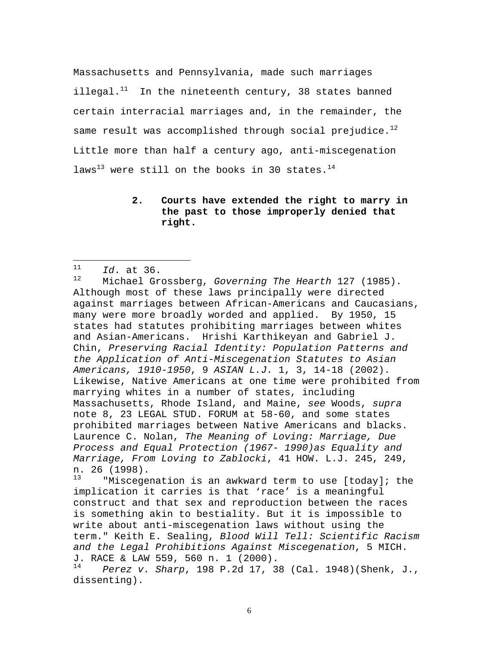Massachusetts and Pennsylvania, made such marriages illegal. $11$  In the nineteenth century, 38 states banned certain interracial marriages and, in the remainder, the same result was accomplished through social prejudice. $^{12}$ Little more than half a century ago, anti-miscegenation laws<sup>13</sup> were still on the books in 30 states.<sup>14</sup>

### **2. Courts have extended the right to marry in the past to those improperly denied that right.**

"Miscegenation is an awkward term to use [today]; the implication it carries is that 'race' is a meaningful construct and that sex and reproduction between the races is something akin to bestiality. But it is impossible to write about anti-miscegenation laws without using the term." Keith E. Sealing, *Blood Will Tell: Scientific Racism and the Legal Prohibitions Against Miscegenation*, 5 MICH. J. RACE & LAW 559, 560 n. 1 (2000).

<sup>14</sup> *Perez v. Sharp*, 198 P.2d 17, 38 (Cal. 1948)(Shenk, J., dissenting).

 $11$  $\frac{11}{12}$  *Id.* at 36.

<sup>12</sup> Michael Grossberg, *Governing The Hearth* 127 (1985). Although most of these laws principally were directed against marriages between African-Americans and Caucasians, many were more broadly worded and applied. By 1950, 15 states had statutes prohibiting marriages between whites and Asian-Americans. Hrishi Karthikeyan and Gabriel J. Chin, *Preserving Racial Identity: Population Patterns and the Application of Anti-Miscegenation Statutes to Asian Americans, 1910-1950*, 9 *ASIAN L.J.* 1, 3, 14-18 (2002). Likewise, Native Americans at one time were prohibited from marrying whites in a number of states, including Massachusetts, Rhode Island, and Maine, *see* Woods, *supra* note 8, 23 LEGAL STUD. FORUM at 58-60, and some states prohibited marriages between Native Americans and blacks. Laurence C. Nolan, *The Meaning of Loving: Marriage, Due Process and Equal Protection (1967- 1990)as Equality and Marriage, From Loving to Zablocki*, 41 HOW. L.J. 245, 249, n. 26 (1998).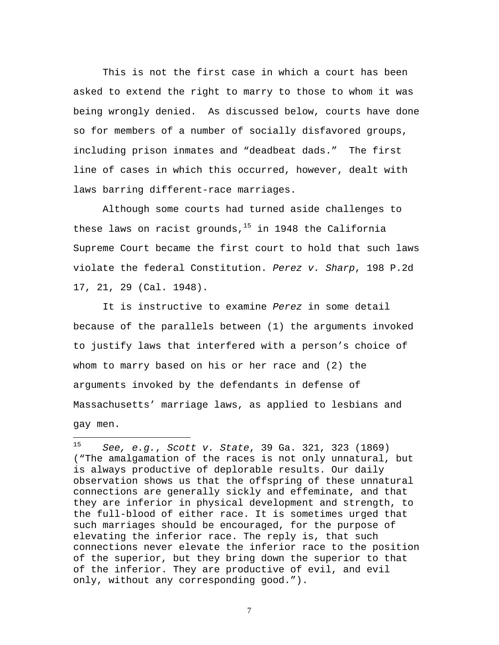This is not the first case in which a court has been asked to extend the right to marry to those to whom it was being wrongly denied. As discussed below, courts have done so for members of a number of socially disfavored groups, including prison inmates and "deadbeat dads." The first line of cases in which this occurred, however, dealt with laws barring different-race marriages.

Although some courts had turned aside challenges to these laws on racist grounds, $15$  in 1948 the California Supreme Court became the first court to hold that such laws violate the federal Constitution. *Perez v. Sharp*, 198 P.2d 17, 21, 29 (Cal. 1948).

It is instructive to examine *Perez* in some detail because of the parallels between (1) the arguments invoked to justify laws that interfered with a person's choice of whom to marry based on his or her race and (2) the arguments invoked by the defendants in defense of Massachusetts' marriage laws, as applied to lesbians and gay men.

1

<sup>15</sup> *See, e.g.*, *Scott v. State*, 39 Ga. 321, 323 (1869) ("The amalgamation of the races is not only unnatural, but is always productive of deplorable results. Our daily observation shows us that the offspring of these unnatural connections are generally sickly and effeminate, and that they are inferior in physical development and strength, to the full-blood of either race. It is sometimes urged that such marriages should be encouraged, for the purpose of elevating the inferior race. The reply is, that such connections never elevate the inferior race to the position of the superior, but they bring down the superior to that of the inferior. They are productive of evil, and evil only, without any corresponding good.").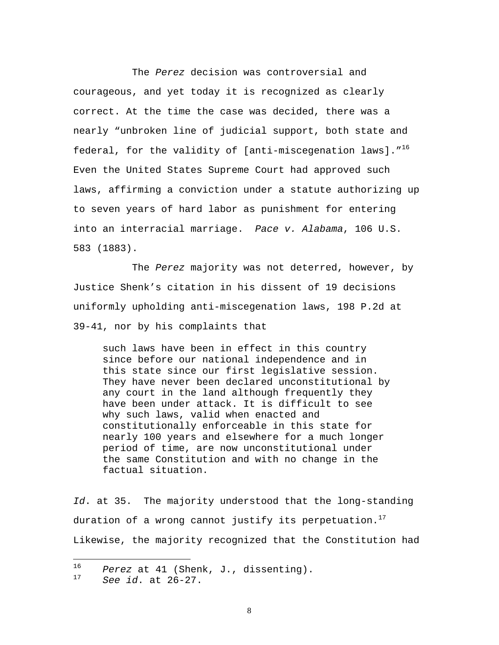The *Perez* decision was controversial and courageous, and yet today it is recognized as clearly correct. At the time the case was decided, there was a nearly "unbroken line of judicial support, both state and federal, for the validity of [anti-miscegenation laws]. $10^{16}$ Even the United States Supreme Court had approved such laws, affirming a conviction under a statute authorizing up to seven years of hard labor as punishment for entering into an interracial marriage. *Pace v. Alabama*, 106 U.S. 583 (1883).

The *Perez* majority was not deterred, however, by Justice Shenk's citation in his dissent of 19 decisions uniformly upholding anti-miscegenation laws, 198 P.2d at 39-41, nor by his complaints that

such laws have been in effect in this country since before our national independence and in this state since our first legislative session. They have never been declared unconstitutional by any court in the land although frequently they have been under attack. It is difficult to see why such laws, valid when enacted and constitutionally enforceable in this state for nearly 100 years and elsewhere for a much longer period of time, are now unconstitutional under the same Constitution and with no change in the factual situation.

*Id*. at 35. The majority understood that the long-standing duration of a wrong cannot justify its perpetuation.<sup>17</sup> Likewise, the majority recognized that the Constitution had

 $\overline{a}$ 

 $^{16}$  *Perez* at 41 (Shenk, J., dissenting).

<sup>17</sup> *See id*. at 26-27.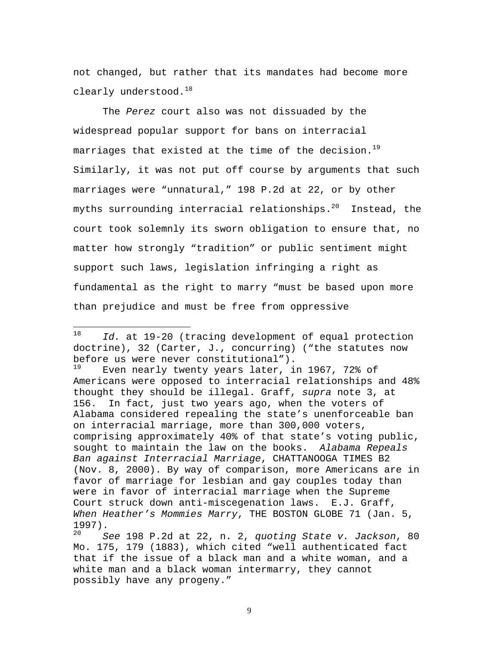not changed, but rather that its mandates had become more clearly understood.<sup>18</sup>

The *Perez* court also was not dissuaded by the widespread popular support for bans on interracial marriages that existed at the time of the decision.<sup>19</sup> Similarly, it was not put off course by arguments that such marriages were "unnatural," 198 P.2d at 22, or by other myths surrounding interracial relationships. $^{20}$  Instead, the court took solemnly its sworn obligation to ensure that, no matter how strongly "tradition" or public sentiment might support such laws, legislation infringing a right as fundamental as the right to marry "must be based upon more than prejudice and must be free from oppressive

 $\overline{a}$ 

Even nearly twenty years later, in 1967, 72% of Americans were opposed to interracial relationships and 48% thought they should be illegal. Graff, *supra* note 3, at 156. In fact, just two years ago, when the voters of Alabama considered repealing the state's unenforceable ban on interracial marriage, more than 300,000 voters, comprising approximately 40% of that state's voting public, sought to maintain the law on the books. *Alabama Repeals Ban against Interracial Marriage*, CHATTANOOGA TIMES B2 (Nov. 8, 2000). By way of comparison, more Americans are in favor of marriage for lesbian and gay couples today than were in favor of interracial marriage when the Supreme Court struck down anti-miscegenation laws. E.J. Graff, *When Heather's Mommies Marry*, THE BOSTON GLOBE 71 (Jan. 5,  $\frac{1997}{20}$ .

<sup>20</sup> *See* 198 P.2d at 22, n. 2, *quoting State v. Jackson*, 80 Mo. 175, 179 (1883), which cited "well authenticated fact that if the issue of a black man and a white woman, and a white man and a black woman intermarry, they cannot possibly have any progeny."

<sup>18</sup> *Id.* at 19-20 (tracing development of equal protection doctrine), 32 (Carter, J., concurring) ("the statutes now before us were never constitutional").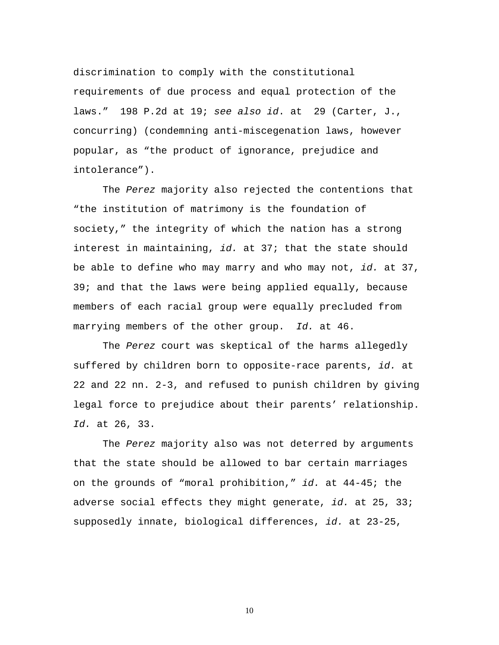discrimination to comply with the constitutional requirements of due process and equal protection of the laws." 198 P.2d at 19; *see also id*. at 29 (Carter, J., concurring) (condemning anti-miscegenation laws, however popular, as "the product of ignorance, prejudice and intolerance").

The *Perez* majority also rejected the contentions that "the institution of matrimony is the foundation of society," the integrity of which the nation has a strong interest in maintaining, *id.* at 37; that the state should be able to define who may marry and who may not, *id.* at 37, 39; and that the laws were being applied equally, because members of each racial group were equally precluded from marrying members of the other group. *Id.* at 46.

The *Perez* court was skeptical of the harms allegedly suffered by children born to opposite-race parents, *id.* at 22 and 22 nn. 2-3, and refused to punish children by giving legal force to prejudice about their parents' relationship. *Id.* at 26, 33.

The *Perez* majority also was not deterred by arguments that the state should be allowed to bar certain marriages on the grounds of "moral prohibition," *id.* at 44-45; the adverse social effects they might generate, *id.* at 25, 33; supposedly innate, biological differences, *id.* at 23-25,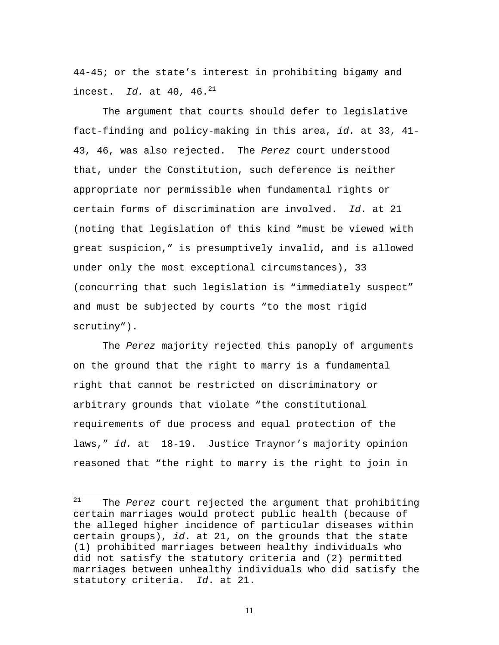44-45; or the state's interest in prohibiting bigamy and incest. *Id.* at 40, 46.<sup>21</sup>

The argument that courts should defer to legislative fact-finding and policy-making in this area, *id.* at 33, 41- 43, 46, was also rejected. The *Perez* court understood that, under the Constitution, such deference is neither appropriate nor permissible when fundamental rights or certain forms of discrimination are involved. *Id*. at 21 (noting that legislation of this kind "must be viewed with great suspicion," is presumptively invalid, and is allowed under only the most exceptional circumstances), 33 (concurring that such legislation is "immediately suspect" and must be subjected by courts "to the most rigid scrutiny").

The *Perez* majority rejected this panoply of arguments on the ground that the right to marry is a fundamental right that cannot be restricted on discriminatory or arbitrary grounds that violate "the constitutional requirements of due process and equal protection of the laws," *id.* at 18-19. Justice Traynor's majority opinion reasoned that "the right to marry is the right to join in

 $\overline{a}$ 

<sup>21</sup> The *Perez* court rejected the argument that prohibiting certain marriages would protect public health (because of the alleged higher incidence of particular diseases within certain groups), *id*. at 21, on the grounds that the state (1) prohibited marriages between healthy individuals who did not satisfy the statutory criteria and (2) permitted marriages between unhealthy individuals who did satisfy the statutory criteria. *Id*. at 21.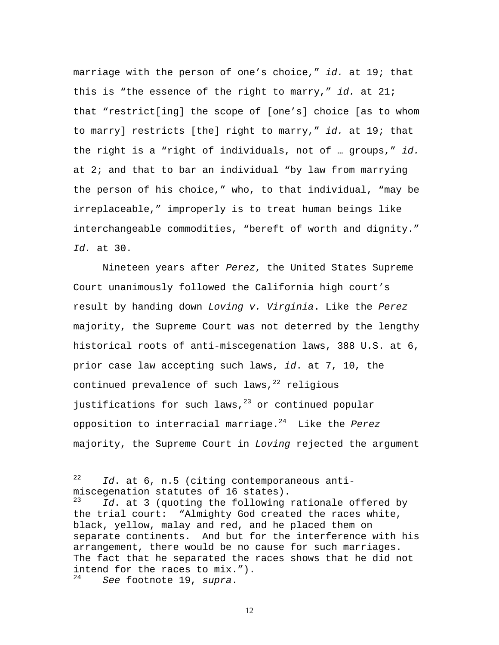marriage with the person of one's choice," *id.* at 19; that this is "the essence of the right to marry," *id.* at 21; that "restrict[ing] the scope of [one's] choice [as to whom to marry] restricts [the] right to marry," *id.* at 19; that the right is a "right of individuals, not of … groups," *id.* at 2; and that to bar an individual "by law from marrying the person of his choice," who, to that individual, "may be irreplaceable," improperly is to treat human beings like interchangeable commodities, "bereft of worth and dignity." *Id.* at 30.

Nineteen years after *Perez*, the United States Supreme Court unanimously followed the California high court's result by handing down *Loving v. Virginia*. Like the *Perez* majority, the Supreme Court was not deterred by the lengthy historical roots of anti-miscegenation laws, 388 U.S. at 6, prior case law accepting such laws, *id*. at 7, 10, the continued prevalence of such laws, $22$  religious justifications for such laws, $^{23}$  or continued popular opposition to interracial marriage.<sup>24</sup> Like the *Perez* majority, the Supreme Court in *Loving* rejected the argument

 $22$ Id. at 6, n.5 (citing contemporaneous antimiscegenation statutes of 16 states).<br> $\frac{23}{d}$  at 3 (guoting the following)

Id. at 3 (quoting the following rationale offered by the trial court: "Almighty God created the races white, black, yellow, malay and red, and he placed them on separate continents. And but for the interference with his arrangement, there would be no cause for such marriages. The fact that he separated the races shows that he did not intend for the races to mix.").

See footnote 19, *supra*.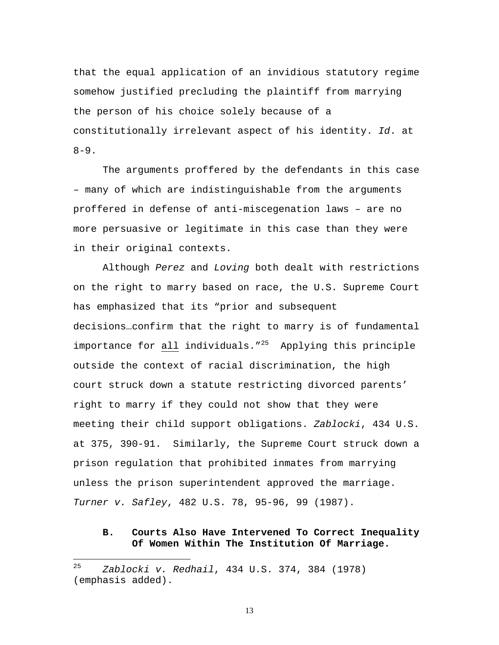that the equal application of an invidious statutory regime somehow justified precluding the plaintiff from marrying the person of his choice solely because of a constitutionally irrelevant aspect of his identity. *Id*. at  $8 - 9$ .

The arguments proffered by the defendants in this case – many of which are indistinguishable from the arguments proffered in defense of anti-miscegenation laws – are no more persuasive or legitimate in this case than they were in their original contexts.

Although *Perez* and *Loving* both dealt with restrictions on the right to marry based on race, the U.S. Supreme Court has emphasized that its "prior and subsequent decisions…confirm that the right to marry is of fundamental importance for all individuals."<sup>25</sup> Applying this principle outside the context of racial discrimination, the high court struck down a statute restricting divorced parents' right to marry if they could not show that they were meeting their child support obligations. *Zablocki*, 434 U.S. at 375, 390-91. Similarly, the Supreme Court struck down a prison regulation that prohibited inmates from marrying unless the prison superintendent approved the marriage. *Turner v. Safley*, 482 U.S. 78, 95-96, 99 (1987).

### **B. Courts Also Have Intervened To Correct Inequality Of Women Within The Institution Of Marriage.**

 $\overline{a}$ 

<sup>25</sup> *Zablocki v. Redhail*, 434 U.S. 374, 384 (1978) (emphasis added).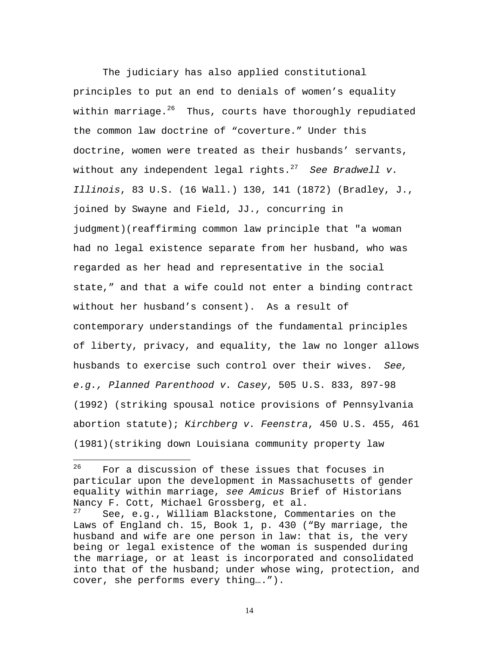The judiciary has also applied constitutional principles to put an end to denials of women's equality within marriage. $2^6$  Thus, courts have thoroughly repudiated the common law doctrine of "coverture." Under this doctrine, women were treated as their husbands' servants, without any independent legal rights.<sup>27</sup> *See Bradwell v. Illinois*, 83 U.S. (16 Wall.) 130, 141 (1872) (Bradley, J., joined by Swayne and Field, JJ., concurring in judgment)(reaffirming common law principle that "a woman had no legal existence separate from her husband, who was regarded as her head and representative in the social state," and that a wife could not enter a binding contract without her husband's consent). As a result of contemporary understandings of the fundamental principles of liberty, privacy, and equality, the law no longer allows husbands to exercise such control over their wives. *See, e.g., Planned Parenthood v. Casey*, 505 U.S. 833, 897-98 (1992) (striking spousal notice provisions of Pennsylvania abortion statute); *Kirchberg v. Feenstra*, 450 U.S. 455, 461 (1981)(striking down Louisiana community property law

<sup>26</sup> For a discussion of these issues that focuses in particular upon the development in Massachusetts of gender equality within marriage, *see Amicus* Brief of Historians Nancy F. Cott, Michael Grossberg, et al.<br><sup>27</sup> See e.g. William Blackstone Comm

See, e.g., William Blackstone, Commentaries on the Laws of England ch. 15, Book 1, p. 430 ("By marriage, the husband and wife are one person in law: that is, the very being or legal existence of the woman is suspended during the marriage, or at least is incorporated and consolidated into that of the husband; under whose wing, protection, and cover, she performs every thing….").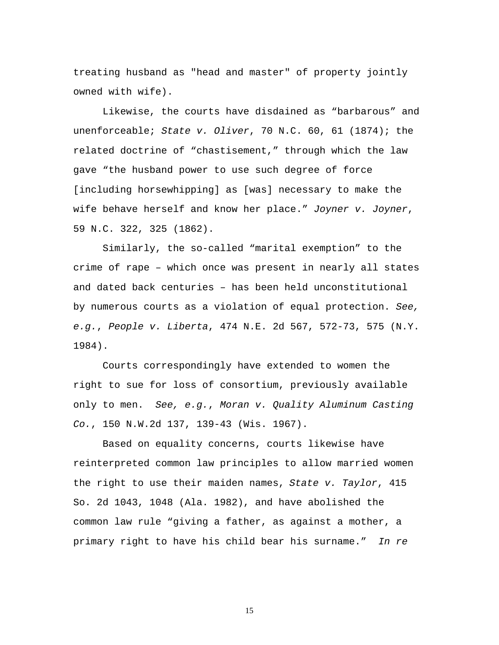treating husband as "head and master" of property jointly owned with wife).

Likewise, the courts have disdained as "barbarous" and unenforceable; *State v. Oliver*, 70 N.C. 60, 61 (1874); the related doctrine of "chastisement," through which the law gave "the husband power to use such degree of force [including horsewhipping] as [was] necessary to make the wife behave herself and know her place." *Joyner v. Joyner*, 59 N.C. 322, 325 (1862).

Similarly, the so-called "marital exemption" to the crime of rape – which once was present in nearly all states and dated back centuries – has been held unconstitutional by numerous courts as a violation of equal protection. *See, e.g.*, *People v. Liberta*, 474 N.E. 2d 567, 572-73, 575 (N.Y. 1984).

Courts correspondingly have extended to women the right to sue for loss of consortium, previously available only to men. *See, e.g.*, *Moran v. Quality Aluminum Casting Co.*, 150 N.W.2d 137, 139-43 (Wis. 1967).

Based on equality concerns, courts likewise have reinterpreted common law principles to allow married women the right to use their maiden names, *State v. Taylor*, 415 So. 2d 1043, 1048 (Ala. 1982), and have abolished the common law rule "giving a father, as against a mother, a primary right to have his child bear his surname." *In re*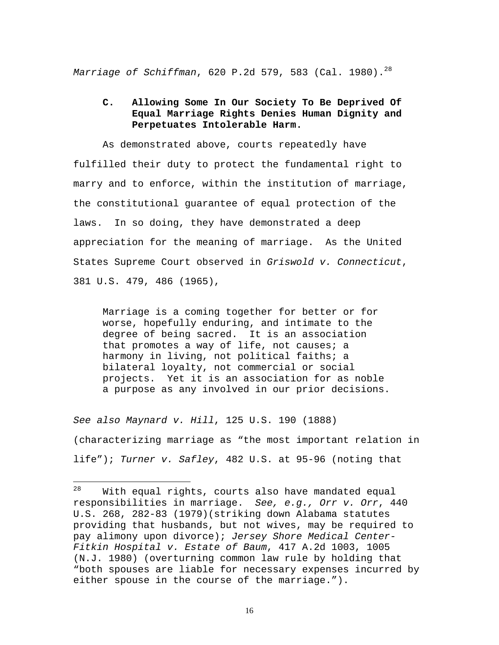*Marriage of Schiffman*, 620 P.2d 579, 583 (Cal. 1980). 28

### **C. Allowing Some In Our Society To Be Deprived Of Equal Marriage Rights Denies Human Dignity and Perpetuates Intolerable Harm.**

As demonstrated above, courts repeatedly have fulfilled their duty to protect the fundamental right to marry and to enforce, within the institution of marriage, the constitutional guarantee of equal protection of the laws. In so doing, they have demonstrated a deep appreciation for the meaning of marriage. As the United States Supreme Court observed in *Griswold v. Connecticut*, 381 U.S. 479, 486 (1965),

Marriage is a coming together for better or for worse, hopefully enduring, and intimate to the degree of being sacred. It is an association that promotes a way of life, not causes; a harmony in living, not political faiths; a bilateral loyalty, not commercial or social projects. Yet it is an association for as noble a purpose as any involved in our prior decisions.

*See also Maynard v. Hill*, 125 U.S. 190 (1888) (characterizing marriage as "the most important relation in life"); *Turner v. Safley*, 482 U.S. at 95-96 (noting that

 $28$ With equal rights, courts also have mandated equal responsibilities in marriage. *See, e.g., Orr v. Orr*, 440 U.S. 268, 282-83 (1979)(striking down Alabama statutes providing that husbands, but not wives, may be required to pay alimony upon divorce); *Jersey Shore Medical Center-Fitkin Hospital v. Estate of Baum*, 417 A.2d 1003, 1005 (N.J. 1980) (overturning common law rule by holding that "both spouses are liable for necessary expenses incurred by either spouse in the course of the marriage.").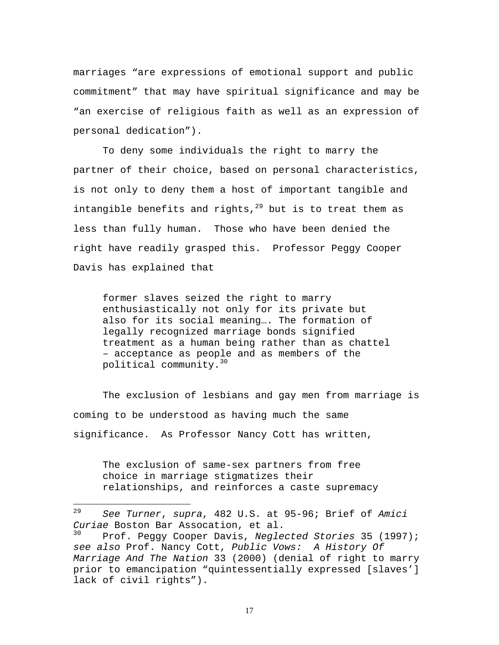marriages "are expressions of emotional support and public commitment" that may have spiritual significance and may be "an exercise of religious faith as well as an expression of personal dedication").

To deny some individuals the right to marry the partner of their choice, based on personal characteristics, is not only to deny them a host of important tangible and intangible benefits and rights, $^{29}$  but is to treat them as less than fully human. Those who have been denied the right have readily grasped this. Professor Peggy Cooper Davis has explained that

former slaves seized the right to marry enthusiastically not only for its private but also for its social meaning…. The formation of legally recognized marriage bonds signified treatment as a human being rather than as chattel – acceptance as people and as members of the political community.<sup>30</sup>

The exclusion of lesbians and gay men from marriage is coming to be understood as having much the same significance. As Professor Nancy Cott has written,

The exclusion of same-sex partners from free choice in marriage stigmatizes their relationships, and reinforces a caste supremacy

1

<sup>29</sup> *See Turner*, *supra*, 482 U.S. at 95-96; Brief of *Amici Curiae* Boston Bar Assocation, et al. <sup>30</sup> Prof. Peggy Cooper Davis, *Neglected Stories* 35 (1997); *see also* Prof. Nancy Cott, *Public Vows: A History Of Marriage And The Nation* 33 (2000) (denial of right to marry prior to emancipation "quintessentially expressed [slaves'] lack of civil rights").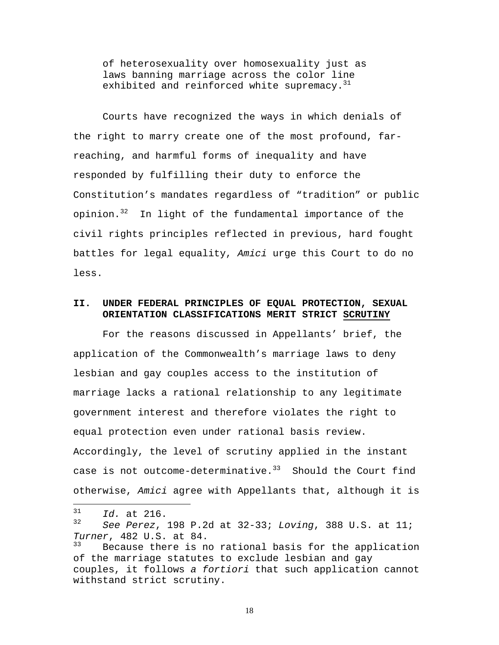of heterosexuality over homosexuality just as laws banning marriage across the color line exhibited and reinforced white supremacy.<sup>31</sup>

Courts have recognized the ways in which denials of the right to marry create one of the most profound, farreaching, and harmful forms of inequality and have responded by fulfilling their duty to enforce the Constitution's mandates regardless of "tradition" or public opinion.<sup>32</sup> In light of the fundamental importance of the civil rights principles reflected in previous, hard fought battles for legal equality, *Amici* urge this Court to do no less.

### **II. UNDER FEDERAL PRINCIPLES OF EQUAL PROTECTION, SEXUAL ORIENTATION CLASSIFICATIONS MERIT STRICT SCRUTINY**

For the reasons discussed in Appellants' brief, the application of the Commonwealth's marriage laws to deny lesbian and gay couples access to the institution of marriage lacks a rational relationship to any legitimate government interest and therefore violates the right to equal protection even under rational basis review. Accordingly, the level of scrutiny applied in the instant case is not outcome-determinative. $33$  Should the Court find otherwise, *Amici* agree with Appellants that, although it is

 $\overline{a}$ 

 $^{31}$  *Id.* at 216.

<sup>32</sup> *See Perez*, 198 P.2d at 32-33; *Loving*, 388 U.S. at 11; *Turner*, 482 U.S. at 84.<br><sup>33</sup> Pecause there is n

Because there is no rational basis for the application of the marriage statutes to exclude lesbian and gay couples, it follows *a fortiori* that such application cannot withstand strict scrutiny.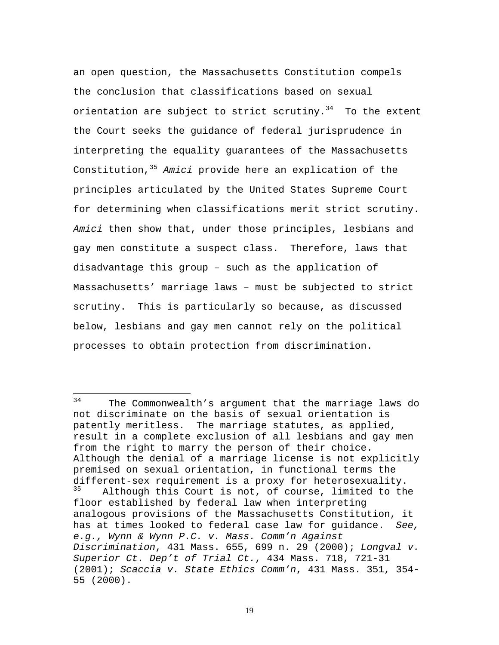an open question, the Massachusetts Constitution compels the conclusion that classifications based on sexual orientation are subject to strict scrutiny.<sup>34</sup> To the extent the Court seeks the guidance of federal jurisprudence in interpreting the equality guarantees of the Massachusetts Constitution,<sup>35</sup> *Amici* provide here an explication of the principles articulated by the United States Supreme Court for determining when classifications merit strict scrutiny. *Amici* then show that, under those principles, lesbians and gay men constitute a suspect class. Therefore, laws that disadvantage this group – such as the application of Massachusetts' marriage laws – must be subjected to strict scrutiny. This is particularly so because, as discussed below, lesbians and gay men cannot rely on the political processes to obtain protection from discrimination.

 $\overline{a}$ 

 $34$  The Commonwealth's argument that the marriage laws do not discriminate on the basis of sexual orientation is patently meritless. The marriage statutes, as applied, result in a complete exclusion of all lesbians and gay men from the right to marry the person of their choice. Although the denial of a marriage license is not explicitly premised on sexual orientation, in functional terms the different-sex requirement is a proxy for heterosexuality. Although this Court is not, of course, limited to the floor established by federal law when interpreting analogous provisions of the Massachusetts Constitution, it has at times looked to federal case law for guidance. *See, e.g., Wynn & Wynn P.C. v. Mass. Comm'n Against Discrimination*, 431 Mass. 655, 699 n. 29 (2000); *Longval v. Superior Ct. Dep't of Trial Ct.*, 434 Mass. 718, 721-31 (2001); *Scaccia v. State Ethics Comm'n*, 431 Mass. 351, 354- 55 (2000).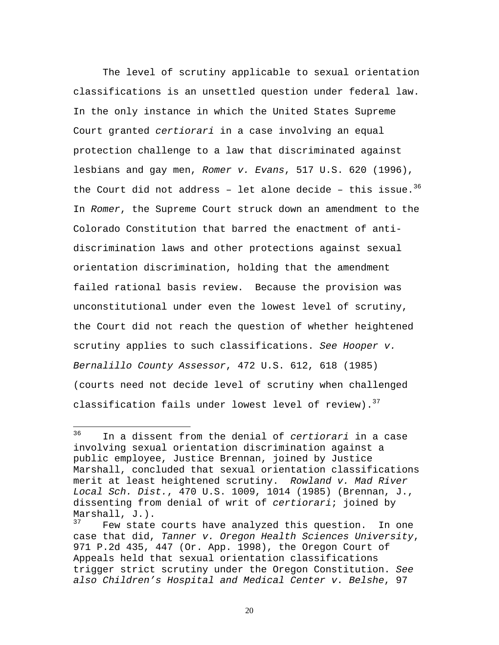The level of scrutiny applicable to sexual orientation classifications is an unsettled question under federal law. In the only instance in which the United States Supreme Court granted *certiorari* in a case involving an equal protection challenge to a law that discriminated against lesbians and gay men, *Romer v. Evans*, 517 U.S. 620 (1996), the Court did not address - let alone decide - this issue.<sup>36</sup> In *Romer*, the Supreme Court struck down an amendment to the Colorado Constitution that barred the enactment of antidiscrimination laws and other protections against sexual orientation discrimination, holding that the amendment failed rational basis review. Because the provision was unconstitutional under even the lowest level of scrutiny, the Court did not reach the question of whether heightened scrutiny applies to such classifications. *See Hooper v. Bernalillo County Assessor*, 472 U.S. 612, 618 (1985) (courts need not decide level of scrutiny when challenged classification fails under lowest level of review).  $37$ 

<sup>36</sup> <sup>36</sup> In a dissent from the denial of *certiorari* in a case involving sexual orientation discrimination against a public employee, Justice Brennan, joined by Justice Marshall, concluded that sexual orientation classifications merit at least heightened scrutiny. *Rowland v. Mad River Local Sch. Dist.*, 470 U.S. 1009, 1014 (1985) (Brennan, J., dissenting from denial of writ of *certiorari*; joined by Marshall, J.).

Few state courts have analyzed this question. In one case that did, *Tanner v. Oregon Health Sciences University*, 971 P.2d 435, 447 (Or. App. 1998), the Oregon Court of Appeals held that sexual orientation classifications trigger strict scrutiny under the Oregon Constitution. *See also Children's Hospital and Medical Center v. Belshe*, 97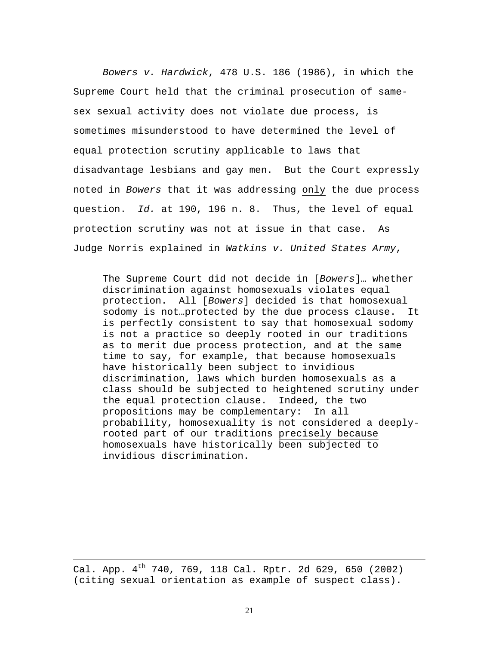*Bowers v. Hardwick*, 478 U.S. 186 (1986), in which the Supreme Court held that the criminal prosecution of samesex sexual activity does not violate due process, is sometimes misunderstood to have determined the level of equal protection scrutiny applicable to laws that disadvantage lesbians and gay men. But the Court expressly noted in *Bowers* that it was addressing only the due process question. *Id.* at 190, 196 n. 8. Thus, the level of equal protection scrutiny was not at issue in that case. As Judge Norris explained in *Watkins v. United States Army*,

The Supreme Court did not decide in [*Bowers*]… whether discrimination against homosexuals violates equal protection. All [*Bowers*] decided is that homosexual sodomy is not…protected by the due process clause. It is perfectly consistent to say that homosexual sodomy is not a practice so deeply rooted in our traditions as to merit due process protection, and at the same time to say, for example, that because homosexuals have historically been subject to invidious discrimination, laws which burden homosexuals as a class should be subjected to heightened scrutiny under the equal protection clause. Indeed, the two propositions may be complementary: In all probability, homosexuality is not considered a deeplyrooted part of our traditions precisely because homosexuals have historically been subjected to invidious discrimination.

Cal. App.  $4^{th}$  740, 769, 118 Cal. Rptr. 2d 629, 650 (2002) (citing sexual orientation as example of suspect class).

 $\overline{a}$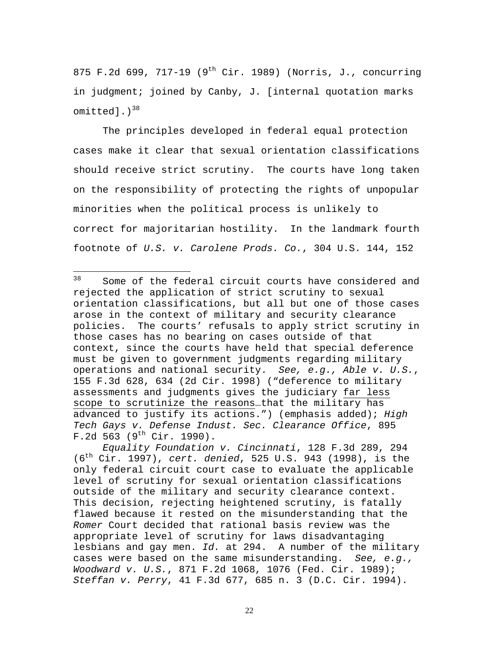875 F.2d 699, 717-19 (9<sup>th</sup> Cir. 1989) (Norris, J., concurring in judgment; joined by Canby, J. [internal quotation marks omitted]. $)^{38}$ 

The principles developed in federal equal protection cases make it clear that sexual orientation classifications should receive strict scrutiny. The courts have long taken on the responsibility of protecting the rights of unpopular minorities when the political process is unlikely to correct for majoritarian hostility. In the landmark fourth footnote of *U.S. v. Carolene Prods. Co.*, 304 U.S. 144, 152

38 Some of the federal circuit courts have considered and rejected the application of strict scrutiny to sexual orientation classifications, but all but one of those cases arose in the context of military and security clearance policies. The courts' refusals to apply strict scrutiny in those cases has no bearing on cases outside of that context, since the courts have held that special deference must be given to government judgments regarding military operations and national security. *See, e.g., Able v. U.S.*, 155 F.3d 628, 634 (2d Cir. 1998) ("deference to military assessments and judgments gives the judiciary far less scope to scrutinize the reasons…that the military has advanced to justify its actions.") (emphasis added); *High Tech Gays v. Defense Indust. Sec. Clearance Office*, 895  $F.2d 563 (9<sup>th</sup> Cir. 1990).$ 

*Equality Foundation v. Cincinnati*, 128 F.3d 289, 294 (6th Cir. 1997), *cert. denied*, 525 U.S. 943 (1998), is the only federal circuit court case to evaluate the applicable level of scrutiny for sexual orientation classifications outside of the military and security clearance context. This decision, rejecting heightened scrutiny, is fatally flawed because it rested on the misunderstanding that the *Romer* Court decided that rational basis review was the appropriate level of scrutiny for laws disadvantaging lesbians and gay men. *Id.* at 294. A number of the military cases were based on the same misunderstanding. *See, e.g., Woodward v. U.S.*, 871 F.2d 1068, 1076 (Fed. Cir. 1989); *Steffan v. Perry*, 41 F.3d 677, 685 n. 3 (D.C. Cir. 1994).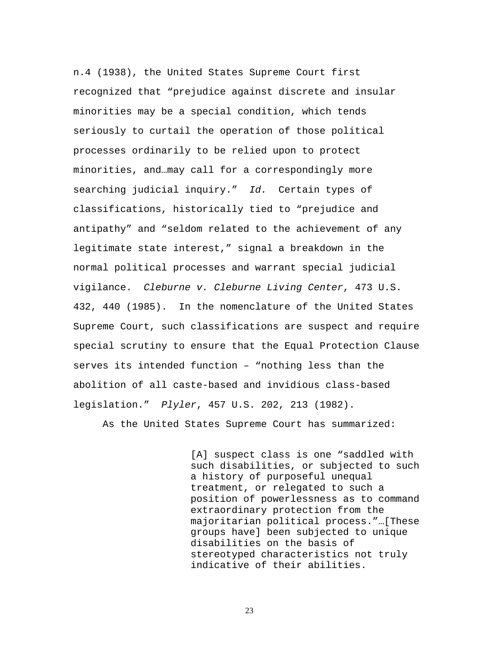n.4 (1938), the United States Supreme Court first recognized that "prejudice against discrete and insular minorities may be a special condition, which tends seriously to curtail the operation of those political processes ordinarily to be relied upon to protect minorities, and…may call for a correspondingly more searching judicial inquiry." *Id.* Certain types of classifications, historically tied to "prejudice and antipathy" and "seldom related to the achievement of any legitimate state interest," signal a breakdown in the normal political processes and warrant special judicial vigilance. *Cleburne v. Cleburne Living Center*, 473 U.S. 432, 440 (1985). In the nomenclature of the United States Supreme Court, such classifications are suspect and require special scrutiny to ensure that the Equal Protection Clause serves its intended function – "nothing less than the abolition of all caste-based and invidious class-based legislation." *Plyler*, 457 U.S. 202, 213 (1982).

As the United States Supreme Court has summarized:

[A] suspect class is one "saddled with such disabilities, or subjected to such a history of purposeful unequal treatment, or relegated to such a position of powerlessness as to command extraordinary protection from the majoritarian political process."…[These groups have] been subjected to unique disabilities on the basis of stereotyped characteristics not truly indicative of their abilities.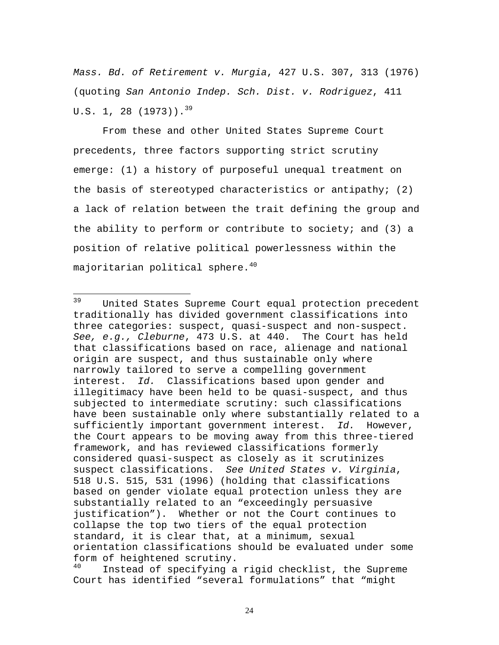*Mass. Bd. of Retirement v. Murgia*, 427 U.S. 307, 313 (1976) (quoting *San Antonio Indep. Sch. Dist. v. Rodriguez*, 411 U.S. 1, 28 (1973)).<sup>39</sup>

From these and other United States Supreme Court precedents, three factors supporting strict scrutiny emerge: (1) a history of purposeful unequal treatment on the basis of stereotyped characteristics or antipathy; (2) a lack of relation between the trait defining the group and the ability to perform or contribute to society; and  $(3)$  a position of relative political powerlessness within the majoritarian political sphere.<sup>40</sup>

<sup>39</sup> United States Supreme Court equal protection precedent traditionally has divided government classifications into three categories: suspect, quasi-suspect and non-suspect. *See, e.g., Cleburne*, 473 U.S. at 440. The Court has held that classifications based on race, alienage and national origin are suspect, and thus sustainable only where narrowly tailored to serve a compelling government interest. *Id.* Classifications based upon gender and illegitimacy have been held to be quasi-suspect, and thus subjected to intermediate scrutiny: such classifications have been sustainable only where substantially related to a sufficiently important government interest. *Id.* However, the Court appears to be moving away from this three-tiered framework, and has reviewed classifications formerly considered quasi-suspect as closely as it scrutinizes suspect classifications. *See United States v. Virginia*, 518 U.S. 515, 531 (1996) (holding that classifications based on gender violate equal protection unless they are substantially related to an "exceedingly persuasive justification"). Whether or not the Court continues to collapse the top two tiers of the equal protection standard, it is clear that, at a minimum, sexual orientation classifications should be evaluated under some form of heightened scrutiny.

Instead of specifying a rigid checklist, the Supreme Court has identified "several formulations" that "might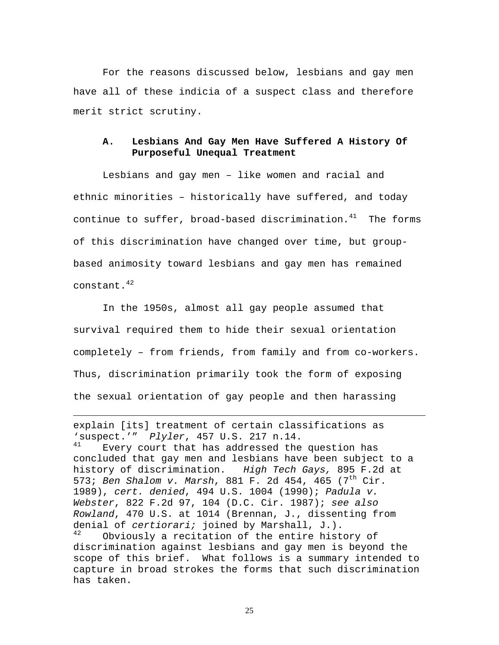For the reasons discussed below, lesbians and gay men have all of these indicia of a suspect class and therefore merit strict scrutiny.

### **A. Lesbians And Gay Men Have Suffered A History Of Purposeful Unequal Treatment**

Lesbians and gay men – like women and racial and ethnic minorities – historically have suffered, and today continue to suffer, broad-based discrimination. $41$  The forms of this discrimination have changed over time, but groupbased animosity toward lesbians and gay men has remained constant.<sup>42</sup>

In the 1950s, almost all gay people assumed that survival required them to hide their sexual orientation completely – from friends, from family and from co-workers. Thus, discrimination primarily took the form of exposing the sexual orientation of gay people and then harassing

explain [its] treatment of certain classifications as 'suspect.'" *Plyler*, 457 U.S. 217 n.14. Every court that has addressed the question has

1

concluded that gay men and lesbians have been subject to a history of discrimination. *High Tech Gays,* 895 F.2d at 573; *Ben Shalom v. Marsh*, 881 F. 2d 454, 465 (7th Cir. 1989), *cert. denied*, 494 U.S. 1004 (1990); *Padula v. Webster*, 822 F.2d 97, 104 (D.C. Cir. 1987); *see also Rowland*, 470 U.S. at 1014 (Brennan, J., dissenting from denial of *certiorari;* joined by Marshall, J.).<br><sup>42</sup> Obviously a regitation of the entire bist. Obviously a recitation of the entire history of discrimination against lesbians and gay men is beyond the

scope of this brief. What follows is a summary intended to capture in broad strokes the forms that such discrimination has taken.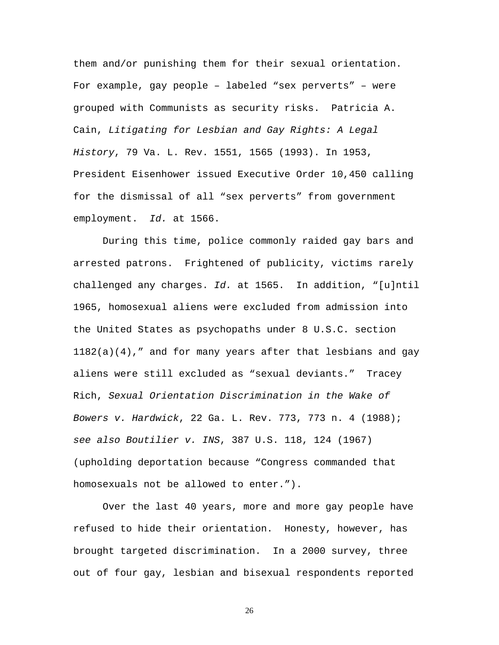them and/or punishing them for their sexual orientation. For example, gay people – labeled "sex perverts" – were grouped with Communists as security risks. Patricia A. Cain, *Litigating for Lesbian and Gay Rights: A Legal History*, 79 Va. L. Rev. 1551, 1565 (1993). In 1953, President Eisenhower issued Executive Order 10,450 calling for the dismissal of all "sex perverts" from government employment. *Id.* at 1566.

During this time, police commonly raided gay bars and arrested patrons. Frightened of publicity, victims rarely challenged any charges. *Id.* at 1565. In addition, "[u]ntil 1965, homosexual aliens were excluded from admission into the United States as psychopaths under 8 U.S.C. section  $1182(a)(4)$ , " and for many years after that lesbians and gay aliens were still excluded as "sexual deviants." Tracey Rich, *Sexual Orientation Discrimination in the Wake of Bowers v. Hardwick*, 22 Ga. L. Rev. 773, 773 n. 4 (1988); *see also Boutilier v. INS*, 387 U.S. 118, 124 (1967) (upholding deportation because "Congress commanded that homosexuals not be allowed to enter.").

Over the last 40 years, more and more gay people have refused to hide their orientation. Honesty, however, has brought targeted discrimination. In a 2000 survey, three out of four gay, lesbian and bisexual respondents reported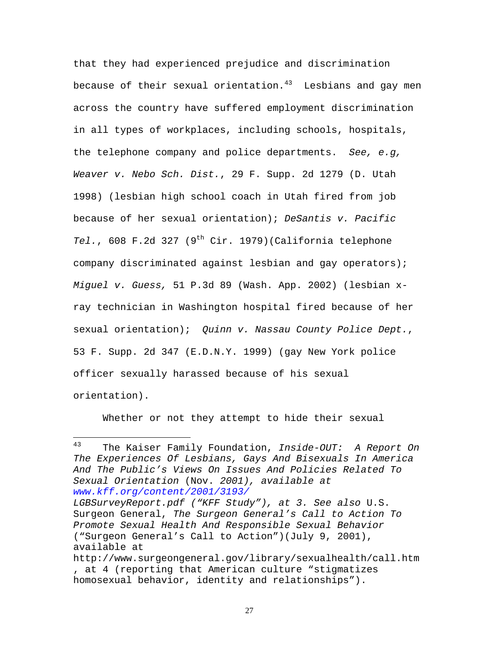that they had experienced prejudice and discrimination because of their sexual orientation. $43$  Lesbians and gay men across the country have suffered employment discrimination in all types of workplaces, including schools, hospitals, the telephone company and police departments. *See, e.g, Weaver v. Nebo Sch. Dist.*, 29 F. Supp. 2d 1279 (D. Utah 1998) (lesbian high school coach in Utah fired from job because of her sexual orientation); *DeSantis v. Pacific Tel.*, 608 F.2d 327 (9th Cir. 1979)(California telephone company discriminated against lesbian and gay operators); *Miguel v. Guess,* 51 P.3d 89 (Wash. App. 2002) (lesbian xray technician in Washington hospital fired because of her sexual orientation); *Quinn v. Nassau County Police Dept.*, 53 F. Supp. 2d 347 (E.D.N.Y. 1999) (gay New York police officer sexually harassed because of his sexual orientation).

Whether or not they attempt to hide their sexual

 $\overline{a}$ 

<sup>43</sup> The Kaiser Family Foundation, *Inside-OUT: A Report On The Experiences Of Lesbians, Gays And Bisexuals In America And The Public's Views On Issues And Policies Related To Sexual Orientation* (Nov. *2001), available at www.kff.org/content/2001/3193/*

*LGBSurveyReport.pdf ("KFF Study"), at 3. See also* U.S. Surgeon General, *The Surgeon General's Call to Action To Promote Sexual Health And Responsible Sexual Behavior* ("Surgeon General's Call to Action")(July 9, 2001), available at

http://www.surgeongeneral.gov/library/sexualhealth/call.htm , at 4 (reporting that American culture "stigmatizes homosexual behavior, identity and relationships").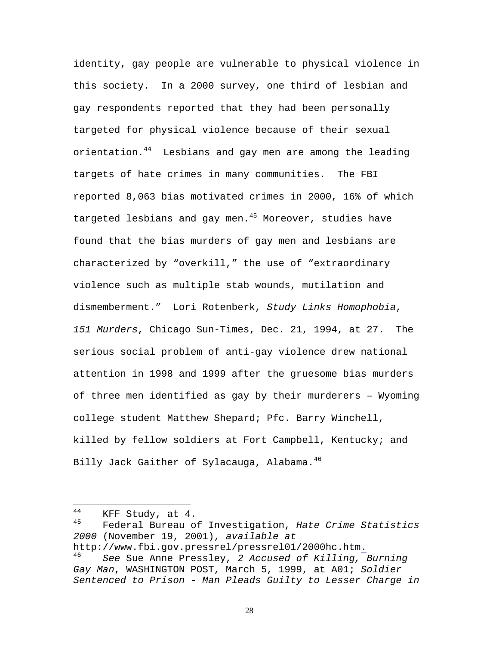identity, gay people are vulnerable to physical violence in this society. In a 2000 survey, one third of lesbian and gay respondents reported that they had been personally targeted for physical violence because of their sexual orientation.<sup>44</sup> Lesbians and gay men are among the leading targets of hate crimes in many communities. The FBI reported 8,063 bias motivated crimes in 2000, 16% of which targeted lesbians and gay men. $45$  Moreover, studies have found that the bias murders of gay men and lesbians are characterized by "overkill," the use of "extraordinary violence such as multiple stab wounds, mutilation and dismemberment." Lori Rotenberk, *Study Links Homophobia*, *151 Murders*, Chicago Sun-Times, Dec. 21, 1994, at 27. The serious social problem of anti-gay violence drew national attention in 1998 and 1999 after the gruesome bias murders of three men identified as gay by their murderers – Wyoming college student Matthew Shepard; Pfc. Barry Winchell, killed by fellow soldiers at Fort Campbell, Kentucky; and Billy Jack Gaither of Sylacauga, Alabama.<sup>46</sup>

 $\overline{a}$ 

 $^{44}$  KFF Study, at 4.<br> $^{45}$  Fodoral Bureau of

<sup>45</sup> Federal Bureau of Investigation, *Hate Crime Statistics 2000* (November 19, 2001), *available at*

http://www.fbi.gov.pressrel/pressrel01/2000hc.htm. <sup>46</sup> *See* Sue Anne Pressley, *2 Accused of Killing, Burning Gay Man*, WASHINGTON POST, March 5, 1999, at A01; *Soldier* 

*Sentenced to Prison - Man Pleads Guilty to Lesser Charge in*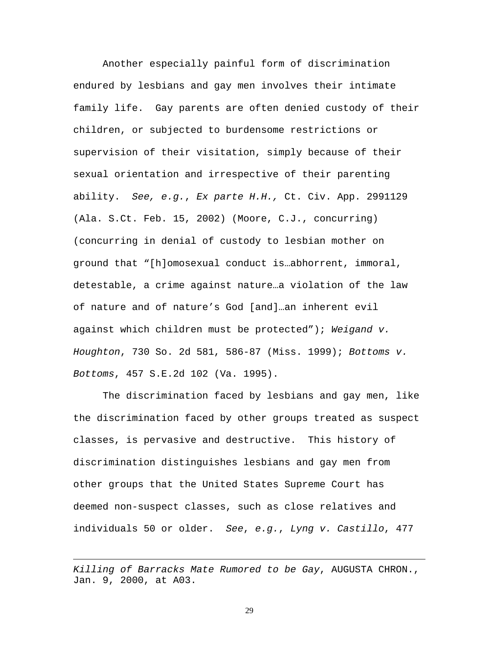Another especially painful form of discrimination endured by lesbians and gay men involves their intimate family life. Gay parents are often denied custody of their children, or subjected to burdensome restrictions or supervision of their visitation, simply because of their sexual orientation and irrespective of their parenting ability. *See, e.g.*, *Ex parte H.H.,* Ct. Civ. App. 2991129 (Ala. S.Ct. Feb. 15, 2002) (Moore, C.J., concurring) (concurring in denial of custody to lesbian mother on ground that "[h]omosexual conduct is…abhorrent, immoral, detestable, a crime against nature…a violation of the law of nature and of nature's God [and]…an inherent evil against which children must be protected"); *Weigand v. Houghton*, 730 So. 2d 581, 586-87 (Miss. 1999); *Bottoms v. Bottoms*, 457 S.E.2d 102 (Va. 1995).

The discrimination faced by lesbians and gay men, like the discrimination faced by other groups treated as suspect classes, is pervasive and destructive. This history of discrimination distinguishes lesbians and gay men from other groups that the United States Supreme Court has deemed non-suspect classes, such as close relatives and individuals 50 or older. *See*, *e.g.*, *Lyng v. Castillo*, 477

*Killing of Barracks Mate Rumored to be Gay*, AUGUSTA CHRON., Jan. 9, 2000, at A03.

1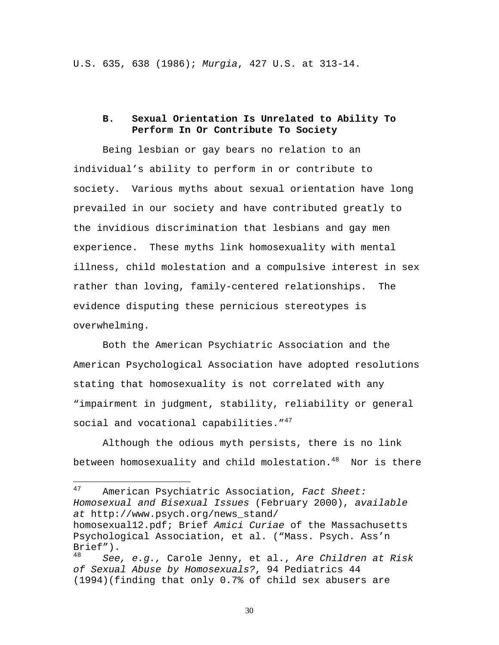U.S. 635, 638 (1986); *Murgia*, 427 U.S. at 313-14.

### **B. Sexual Orientation Is Unrelated to Ability To Perform In Or Contribute To Society**

Being lesbian or gay bears no relation to an individual's ability to perform in or contribute to society. Various myths about sexual orientation have long prevailed in our society and have contributed greatly to the invidious discrimination that lesbians and gay men experience. These myths link homosexuality with mental illness, child molestation and a compulsive interest in sex rather than loving, family-centered relationships. The evidence disputing these pernicious stereotypes is overwhelming.

Both the American Psychiatric Association and the American Psychological Association have adopted resolutions stating that homosexuality is not correlated with any "impairment in judgment, stability, reliability or general social and vocational capabilities."<sup>47</sup>

Although the odious myth persists, there is no link between homosexuality and child molestation. $48$  Nor is there

<sup>47</sup> <sup>47</sup> American Psychiatric Association, *Fact Sheet: Homosexual and Bisexual Issues* (February 2000), *available at* http://www.psych.org/news\_stand/

homosexual12.pdf; Brief *Amici Curiae* of the Massachusetts Psychological Association, et al. ("Mass. Psych. Ass'n Brief").

<sup>48</sup> *See, e.g.,* Carole Jenny, et al., *Are Children at Risk of Sexual Abuse by Homosexuals?*, 94 Pediatrics 44 (1994)(finding that only 0.7% of child sex abusers are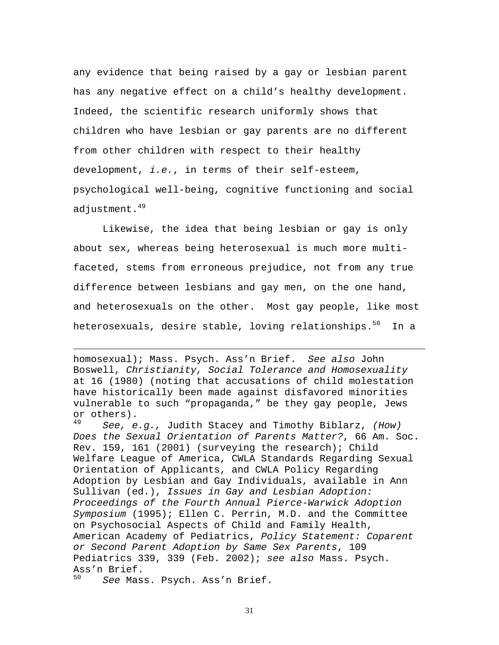any evidence that being raised by a gay or lesbian parent has any negative effect on a child's healthy development. Indeed, the scientific research uniformly shows that children who have lesbian or gay parents are no different from other children with respect to their healthy development, *i.e.*, in terms of their self-esteem, psychological well-being, cognitive functioning and social adjustment. $49$ 

Likewise, the idea that being lesbian or gay is only about sex, whereas being heterosexual is much more multifaceted, stems from erroneous prejudice, not from any true difference between lesbians and gay men, on the one hand, and heterosexuals on the other. Most gay people, like most heterosexuals, desire stable, loving relationships.<sup>50</sup> In a

homosexual); Mass. Psych. Ass'n Brief. *See also* John Boswell, *Christianity, Social Tolerance and Homosexuality* at 16 (1980) (noting that accusations of child molestation have historically been made against disfavored minorities vulnerable to such "propaganda," be they gay people, Jews or others).

<sup>49</sup> *See, e.g.,* Judith Stacey and Timothy Biblarz, *(How) Does the Sexual Orientation of Parents Matter?*, 66 Am. Soc. Rev. 159, 161 (2001) (surveying the research); Child Welfare League of America, CWLA Standards Regarding Sexual Orientation of Applicants, and CWLA Policy Regarding Adoption by Lesbian and Gay Individuals, available in Ann Sullivan (ed.), *Issues in Gay and Lesbian Adoption: Proceedings of the Fourth Annual Pierce-Warwick Adoption Symposium* (1995); Ellen C. Perrin, M.D. and the Committee on Psychosocial Aspects of Child and Family Health, American Academy of Pediatrics, *Policy Statement: Coparent or Second Parent Adoption by Same Sex Parents*, 109 Pediatrics 339, 339 (Feb. 2002); *see also* Mass. Psych. Ass'n Brief.<br>50 Coo Mag

See Mass. Psych. Ass'n Brief.

 $\overline{a}$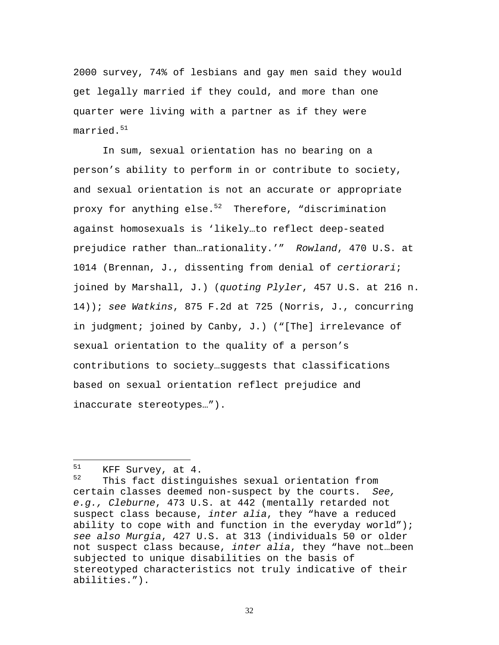2000 survey, 74% of lesbians and gay men said they would get legally married if they could, and more than one quarter were living with a partner as if they were  $married.^{51}$ 

In sum, sexual orientation has no bearing on a person's ability to perform in or contribute to society, and sexual orientation is not an accurate or appropriate proxy for anything else. $52$  Therefore, "discrimination against homosexuals is 'likely…to reflect deep-seated prejudice rather than…rationality.'" *Rowland*, 470 U.S. at 1014 (Brennan, J., dissenting from denial of *certiorari*; joined by Marshall, J.) (*quoting Plyler*, 457 U.S. at 216 n. 14)); *see Watkins*, 875 F.2d at 725 (Norris, J., concurring in judgment; joined by Canby, J.) ("[The] irrelevance of sexual orientation to the quality of a person's contributions to society…suggests that classifications based on sexual orientation reflect prejudice and inaccurate stereotypes…").

 $51$  $51$  KFF Survey, at 4.<br> $52$  This fast disting

This fact distinguishes sexual orientation from certain classes deemed non-suspect by the courts. *See, e.g., Cleburne*, 473 U.S. at 442 (mentally retarded not suspect class because, *inter alia*, they "have a reduced ability to cope with and function in the everyday world"); *see also Murgia*, 427 U.S. at 313 (individuals 50 or older not suspect class because, *inter alia*, they "have not…been subjected to unique disabilities on the basis of stereotyped characteristics not truly indicative of their abilities.").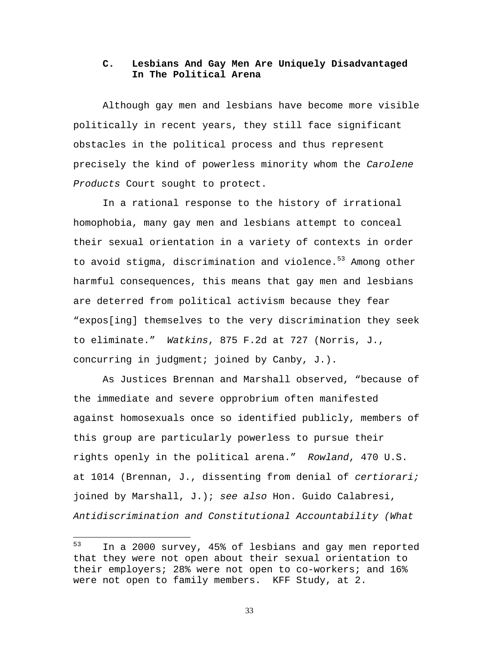### **C. Lesbians And Gay Men Are Uniquely Disadvantaged In The Political Arena**

Although gay men and lesbians have become more visible politically in recent years, they still face significant obstacles in the political process and thus represent precisely the kind of powerless minority whom the *Carolene Products* Court sought to protect.

In a rational response to the history of irrational homophobia, many gay men and lesbians attempt to conceal their sexual orientation in a variety of contexts in order to avoid stigma, discrimination and violence.<sup>53</sup> Among other harmful consequences, this means that gay men and lesbians are deterred from political activism because they fear "expos[ing] themselves to the very discrimination they seek to eliminate." *Watkins*, 875 F.2d at 727 (Norris, J., concurring in judgment; joined by Canby, J.).

As Justices Brennan and Marshall observed, "because of the immediate and severe opprobrium often manifested against homosexuals once so identified publicly, members of this group are particularly powerless to pursue their rights openly in the political arena." *Rowland*, 470 U.S. at 1014 (Brennan, J., dissenting from denial of *certiorari;*  joined by Marshall, J.); *see also* Hon. Guido Calabresi, *Antidiscrimination and Constitutional Accountability (What* 

<sup>53</sup> <sup>53</sup> In a 2000 survey, 45% of lesbians and gay men reported that they were not open about their sexual orientation to their employers; 28% were not open to co-workers; and 16% were not open to family members. KFF Study, at 2.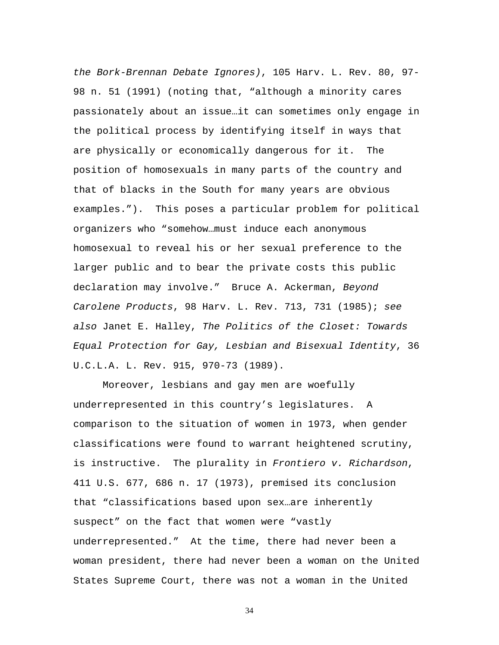*the Bork-Brennan Debate Ignores)*, 105 Harv. L. Rev. 80, 97- 98 n. 51 (1991) (noting that, "although a minority cares passionately about an issue…it can sometimes only engage in the political process by identifying itself in ways that are physically or economically dangerous for it. The position of homosexuals in many parts of the country and that of blacks in the South for many years are obvious examples."). This poses a particular problem for political organizers who "somehow…must induce each anonymous homosexual to reveal his or her sexual preference to the larger public and to bear the private costs this public declaration may involve." Bruce A. Ackerman, *Beyond Carolene Products*, 98 Harv. L. Rev. 713, 731 (1985); *see also* Janet E. Halley, *The Politics of the Closet: Towards Equal Protection for Gay, Lesbian and Bisexual Identity*, 36 U.C.L.A. L. Rev. 915, 970-73 (1989).

Moreover, lesbians and gay men are woefully underrepresented in this country's legislatures. A comparison to the situation of women in 1973, when gender classifications were found to warrant heightened scrutiny, is instructive. The plurality in *Frontiero v. Richardson*, 411 U.S. 677, 686 n. 17 (1973), premised its conclusion that "classifications based upon sex…are inherently suspect" on the fact that women were "vastly underrepresented." At the time, there had never been a woman president, there had never been a woman on the United States Supreme Court, there was not a woman in the United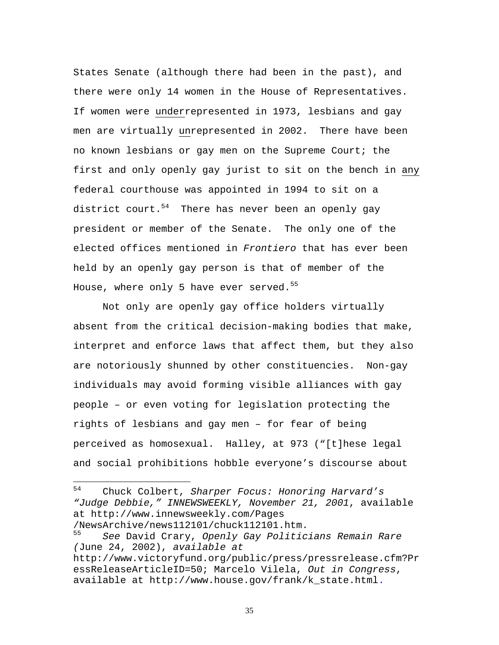States Senate (although there had been in the past), and there were only 14 women in the House of Representatives. If women were underrepresented in 1973, lesbians and gay men are virtually unrepresented in 2002. There have been no known lesbians or gay men on the Supreme Court; the first and only openly gay jurist to sit on the bench in any federal courthouse was appointed in 1994 to sit on a district court.<sup>54</sup> There has never been an openly gay president or member of the Senate. The only one of the elected offices mentioned in *Frontiero* that has ever been held by an openly gay person is that of member of the House, where only 5 have ever served. $55$ 

Not only are openly gay office holders virtually absent from the critical decision-making bodies that make, interpret and enforce laws that affect them, but they also are notoriously shunned by other constituencies. Non-gay individuals may avoid forming visible alliances with gay people – or even voting for legislation protecting the rights of lesbians and gay men – for fear of being perceived as homosexual. Halley, at 973 ("[t]hese legal and social prohibitions hobble everyone's discourse about

/NewsArchive/news112101/chuck112101.htm.

<sup>54</sup> <sup>54</sup> Chuck Colbert, *Sharper Focus: Honoring Harvard's "Judge Debbie," INNEWSWEEKLY, November 21, 2001*, available at http://www.innewsweekly.com/Pages

<sup>55</sup> *See* David Crary, *Openly Gay Politicians Remain Rare (*June 24, 2002), *available at*

http://www.victoryfund.org/public/press/pressrelease.cfm?Pr essReleaseArticleID=50; Marcelo Vilela, *Out in Congress*, available at http://www.house.gov/frank/k\_state.html.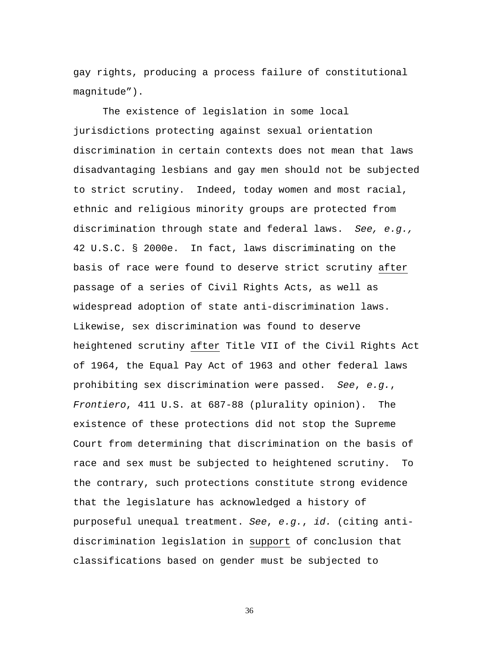gay rights, producing a process failure of constitutional magnitude").

The existence of legislation in some local jurisdictions protecting against sexual orientation discrimination in certain contexts does not mean that laws disadvantaging lesbians and gay men should not be subjected to strict scrutiny. Indeed, today women and most racial, ethnic and religious minority groups are protected from discrimination through state and federal laws. *See, e.g.,* 42 U.S.C. § 2000e. In fact, laws discriminating on the basis of race were found to deserve strict scrutiny after passage of a series of Civil Rights Acts, as well as widespread adoption of state anti-discrimination laws. Likewise, sex discrimination was found to deserve heightened scrutiny after Title VII of the Civil Rights Act of 1964, the Equal Pay Act of 1963 and other federal laws prohibiting sex discrimination were passed. *See*, *e.g.*, *Frontiero*, 411 U.S. at 687-88 (plurality opinion). The existence of these protections did not stop the Supreme Court from determining that discrimination on the basis of race and sex must be subjected to heightened scrutiny. To the contrary, such protections constitute strong evidence that the legislature has acknowledged a history of purposeful unequal treatment. *See*, *e.g.*, *id.* (citing antidiscrimination legislation in support of conclusion that classifications based on gender must be subjected to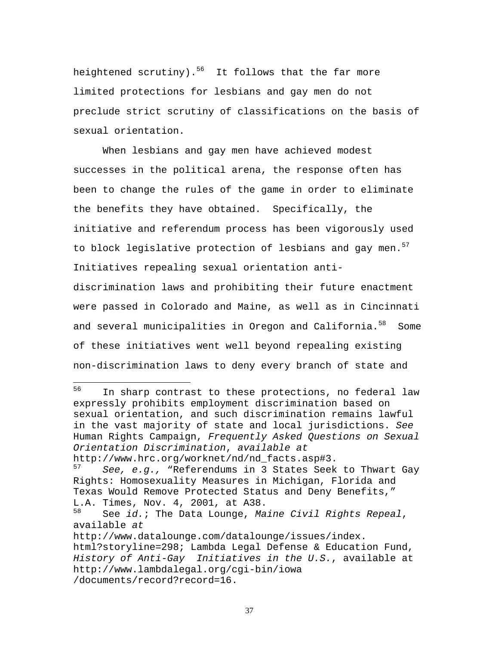heightened scrutiny).<sup>56</sup> It follows that the far more limited protections for lesbians and gay men do not preclude strict scrutiny of classifications on the basis of sexual orientation.

When lesbians and gay men have achieved modest successes in the political arena, the response often has been to change the rules of the game in order to eliminate the benefits they have obtained. Specifically, the initiative and referendum process has been vigorously used to block legislative protection of lesbians and gay men. $57$ Initiatives repealing sexual orientation anti-

discrimination laws and prohibiting their future enactment were passed in Colorado and Maine, as well as in Cincinnati and several municipalities in Oregon and California.<sup>58</sup> Some of these initiatives went well beyond repealing existing non-discrimination laws to deny every branch of state and

56 In sharp contrast to these protections, no federal law expressly prohibits employment discrimination based on sexual orientation, and such discrimination remains lawful in the vast majority of state and local jurisdictions. *See* Human Rights Campaign, *Frequently Asked Questions on Sexual Orientation Discrimination*, *available at* 

http://www.hrc.org/worknet/nd/nd\_facts.asp#3.<br>57 Coo o q wPeferendums in 3 States Seek

See, e.g., "Referendums in 3 States Seek to Thwart Gay Rights: Homosexuality Measures in Michigan, Florida and Texas Would Remove Protected Status and Deny Benefits," L.A. Times, Nov. 4, 2001, at A38.<br> $58$  See id: The Data Lounge, Ma

<sup>58</sup> See *id.*; The Data Lounge, *Maine Civil Rights Repeal*, available *at* 

http://www.datalounge.com/datalounge/issues/index. html?storyline=298; Lambda Legal Defense & Education Fund, *History of Anti-Gay Initiatives in the U.S.*, available at http://www.lambdalegal.org/cgi-bin/iowa /documents/record?record=16.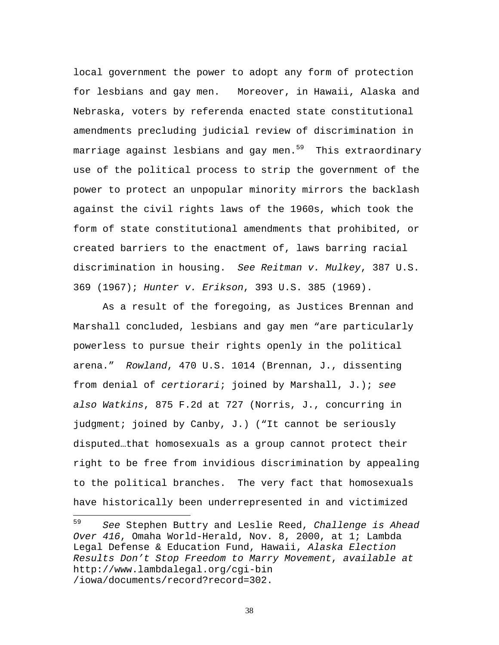local government the power to adopt any form of protection for lesbians and gay men. Moreover, in Hawaii, Alaska and Nebraska, voters by referenda enacted state constitutional amendments precluding judicial review of discrimination in marriage against lesbians and gay men.<sup>59</sup> This extraordinary use of the political process to strip the government of the power to protect an unpopular minority mirrors the backlash against the civil rights laws of the 1960s, which took the form of state constitutional amendments that prohibited, or created barriers to the enactment of, laws barring racial discrimination in housing. *See Reitman v. Mulkey*, 387 U.S. 369 (1967); *Hunter v. Erikson*, 393 U.S. 385 (1969).

As a result of the foregoing, as Justices Brennan and Marshall concluded, lesbians and gay men "are particularly powerless to pursue their rights openly in the political arena." *Rowland*, 470 U.S. 1014 (Brennan, J., dissenting from denial of *certiorari*; joined by Marshall, J.); *see also Watkins*, 875 F.2d at 727 (Norris, J., concurring in judgment; joined by Canby, J.) ("It cannot be seriously disputed…that homosexuals as a group cannot protect their right to be free from invidious discrimination by appealing to the political branches. The very fact that homosexuals have historically been underrepresented in and victimized

1

<sup>59</sup> *See* Stephen Buttry and Leslie Reed, *Challenge is Ahead Over 416*, Omaha World-Herald, Nov. 8, 2000, at 1; Lambda Legal Defense & Education Fund, Hawaii, *Alaska Election Results Don't Stop Freedom to Marry Movement*, *available at* http://www.lambdalegal.org/cgi-bin /iowa/documents/record?record=302.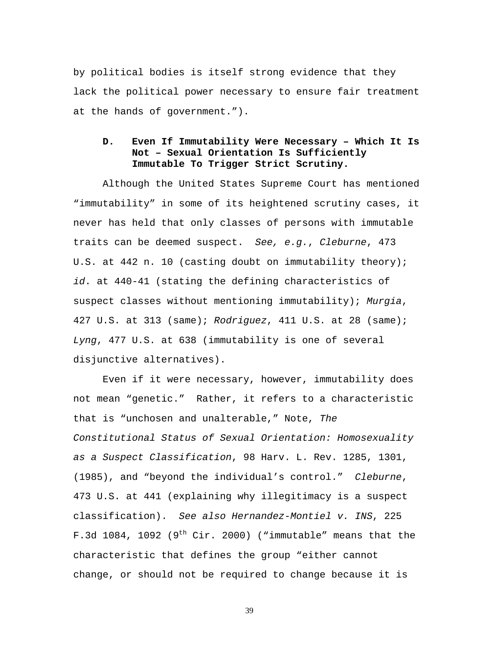by political bodies is itself strong evidence that they lack the political power necessary to ensure fair treatment at the hands of government.").

### **D. Even If Immutability Were Necessary – Which It Is Not – Sexual Orientation Is Sufficiently Immutable To Trigger Strict Scrutiny.**

Although the United States Supreme Court has mentioned "immutability" in some of its heightened scrutiny cases, it never has held that only classes of persons with immutable traits can be deemed suspect. *See, e.g.*, *Cleburne*, 473 U.S. at 442 n. 10 (casting doubt on immutability theory); *id*. at 440-41 (stating the defining characteristics of suspect classes without mentioning immutability); *Murgia*, 427 U.S. at 313 (same); *Rodriguez*, 411 U.S. at 28 (same); *Lyng*, 477 U.S. at 638 (immutability is one of several disjunctive alternatives).

Even if it were necessary, however, immutability does not mean "genetic." Rather, it refers to a characteristic that is "unchosen and unalterable," Note, *The Constitutional Status of Sexual Orientation: Homosexuality as a Suspect Classification*, 98 Harv. L. Rev. 1285, 1301, (1985), and "beyond the individual's control." *Cleburne*, 473 U.S. at 441 (explaining why illegitimacy is a suspect classification). *See also Hernandez-Montiel v. INS*, 225 F.3d 1084, 1092 (9<sup>th</sup> Cir. 2000) ("immutable" means that the characteristic that defines the group "either cannot change, or should not be required to change because it is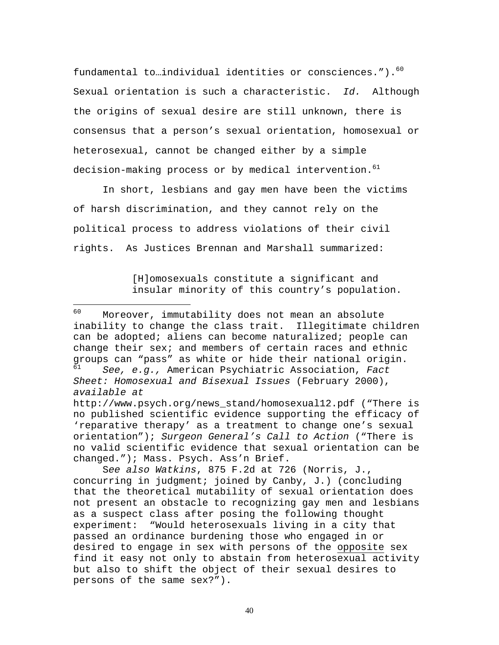fundamental to...individual identities or consciences.").<sup>60</sup> Sexual orientation is such a characteristic. *Id.* Although the origins of sexual desire are still unknown, there is consensus that a person's sexual orientation, homosexual or heterosexual, cannot be changed either by a simple decision-making process or by medical intervention.<sup>61</sup>

In short, lesbians and gay men have been the victims of harsh discrimination, and they cannot rely on the political process to address violations of their civil rights. As Justices Brennan and Marshall summarized:

1

[H]omosexuals constitute a significant and insular minority of this country's population.

<sup>60</sup> Moreover, immutability does not mean an absolute inability to change the class trait. Illegitimate children can be adopted; aliens can become naturalized; people can change their sex; and members of certain races and ethnic groups can "pass" as white or hide their national origin. <sup>61</sup> *See, e.g.,* American Psychiatric Association, *Fact Sheet: Homosexual and Bisexual Issues* (February 2000), *available at* http://www.psych.org/news\_stand/homosexual12.pdf ("There is no published scientific evidence supporting the efficacy of 'reparative therapy' as a treatment to change one's sexual orientation"); *Surgeon General's Call to Action* ("There is no valid scientific evidence that sexual orientation can be changed."); Mass. Psych. Ass'n Brief.

S*ee also Watkins*, 875 F.2d at 726 (Norris, J., concurring in judgment; joined by Canby, J.) (concluding that the theoretical mutability of sexual orientation does not present an obstacle to recognizing gay men and lesbians as a suspect class after posing the following thought experiment: "Would heterosexuals living in a city that passed an ordinance burdening those who engaged in or desired to engage in sex with persons of the opposite sex find it easy not only to abstain from heterosexual activity but also to shift the object of their sexual desires to persons of the same sex?").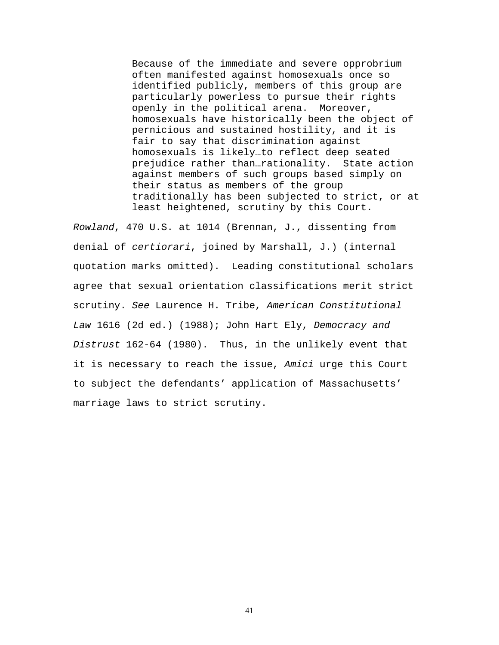Because of the immediate and severe opprobrium often manifested against homosexuals once so identified publicly, members of this group are particularly powerless to pursue their rights openly in the political arena. Moreover, homosexuals have historically been the object of pernicious and sustained hostility, and it is fair to say that discrimination against homosexuals is likely…to reflect deep seated prejudice rather than…rationality. State action against members of such groups based simply on their status as members of the group traditionally has been subjected to strict, or at least heightened, scrutiny by this Court.

*Rowland*, 470 U.S. at 1014 (Brennan, J., dissenting from denial of *certiorari*, joined by Marshall, J.) (internal quotation marks omitted). Leading constitutional scholars agree that sexual orientation classifications merit strict scrutiny. *See* Laurence H. Tribe, *American Constitutional Law* 1616 (2d ed.) (1988); John Hart Ely, *Democracy and Distrust* 162-64 (1980). Thus, in the unlikely event that it is necessary to reach the issue, *Amici* urge this Court to subject the defendants' application of Massachusetts' marriage laws to strict scrutiny.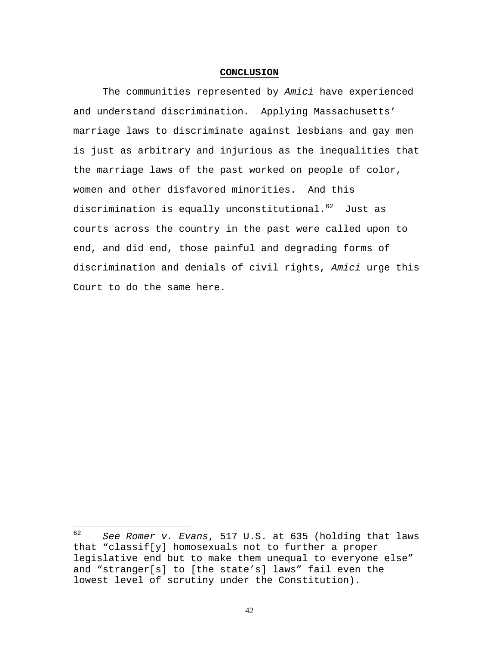#### **CONCLUSION**

The communities represented by *Amici* have experienced and understand discrimination. Applying Massachusetts' marriage laws to discriminate against lesbians and gay men is just as arbitrary and injurious as the inequalities that the marriage laws of the past worked on people of color, women and other disfavored minorities. And this discrimination is equally unconstitutional.<sup>62</sup> Just as courts across the country in the past were called upon to end, and did end, those painful and degrading forms of discrimination and denials of civil rights, *Amici* urge this Court to do the same here.

<sup>62</sup> <sup>62</sup> *See Romer v. Evans*, 517 U.S. at 635 (holding that laws that "classif[y] homosexuals not to further a proper legislative end but to make them unequal to everyone else" and "stranger[s] to [the state's] laws" fail even the lowest level of scrutiny under the Constitution).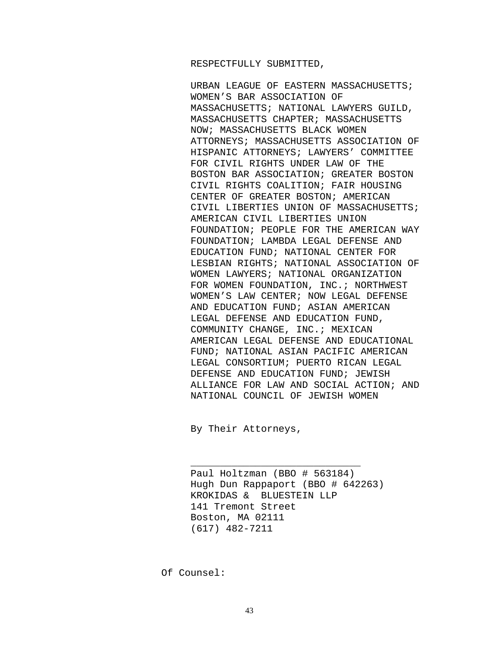#### RESPECTFULLY SUBMITTED,

URBAN LEAGUE OF EASTERN MASSACHUSETTS; WOMEN'S BAR ASSOCIATION OF MASSACHUSETTS; NATIONAL LAWYERS GUILD, MASSACHUSETTS CHAPTER; MASSACHUSETTS NOW; MASSACHUSETTS BLACK WOMEN ATTORNEYS; MASSACHUSETTS ASSOCIATION OF HISPANIC ATTORNEYS; LAWYERS' COMMITTEE FOR CIVIL RIGHTS UNDER LAW OF THE BOSTON BAR ASSOCIATION; GREATER BOSTON CIVIL RIGHTS COALITION; FAIR HOUSING CENTER OF GREATER BOSTON; AMERICAN CIVIL LIBERTIES UNION OF MASSACHUSETTS; AMERICAN CIVIL LIBERTIES UNION FOUNDATION; PEOPLE FOR THE AMERICAN WAY FOUNDATION; LAMBDA LEGAL DEFENSE AND EDUCATION FUND; NATIONAL CENTER FOR LESBIAN RIGHTS; NATIONAL ASSOCIATION OF WOMEN LAWYERS; NATIONAL ORGANIZATION FOR WOMEN FOUNDATION, INC.; NORTHWEST WOMEN'S LAW CENTER; NOW LEGAL DEFENSE AND EDUCATION FUND; ASIAN AMERICAN LEGAL DEFENSE AND EDUCATION FUND, COMMUNITY CHANGE, INC.; MEXICAN AMERICAN LEGAL DEFENSE AND EDUCATIONAL FUND; NATIONAL ASIAN PACIFIC AMERICAN LEGAL CONSORTIUM; PUERTO RICAN LEGAL DEFENSE AND EDUCATION FUND; JEWISH ALLIANCE FOR LAW AND SOCIAL ACTION; AND NATIONAL COUNCIL OF JEWISH WOMEN

By Their Attorneys,

Paul Holtzman (BBO # 563184) Hugh Dun Rappaport (BBO # 642263) KROKIDAS & BLUESTEIN LLP 141 Tremont Street Boston, MA 02111 (617) 482-7211

\_\_\_\_\_\_\_\_\_\_\_\_\_\_\_\_\_\_\_\_\_\_\_\_\_\_\_\_\_

Of Counsel: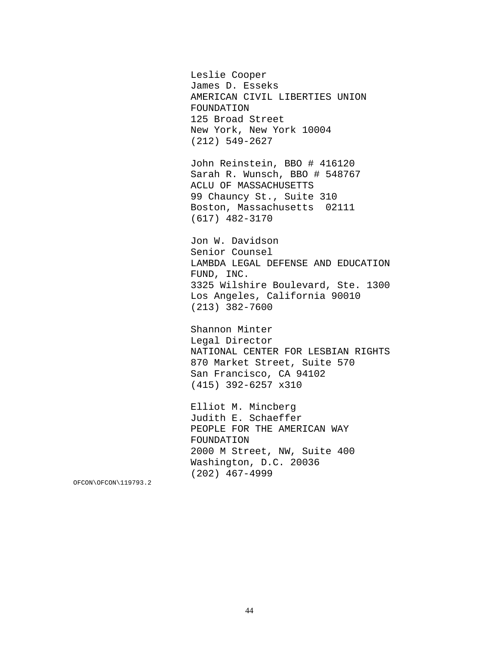Leslie Cooper James D. Esseks AMERICAN CIVIL LIBERTIES UNION FOUNDATION 125 Broad Street New York, New York 10004 (212) 549-2627

John Reinstein, BBO # 416120 Sarah R. Wunsch, BBO # 548767 ACLU OF MASSACHUSETTS 99 Chauncy St., Suite 310 Boston, Massachusetts 02111 (617) 482-3170

Jon W. Davidson Senior Counsel LAMBDA LEGAL DEFENSE AND EDUCATION FUND, INC. 3325 Wilshire Boulevard, Ste. 1300 Los Angeles, California 90010 (213) 382-7600

Shannon Minter Legal Director NATIONAL CENTER FOR LESBIAN RIGHTS 870 Market Street, Suite 570 San Francisco, CA 94102 (415) 392-6257 x310

Elliot M. Mincberg Judith E. Schaeffer PEOPLE FOR THE AMERICAN WAY FOUNDATION 2000 M Street, NW, Suite 400 Washington, D.C. 20036 (202) 467-4999

OFCON\OFCON\119793.2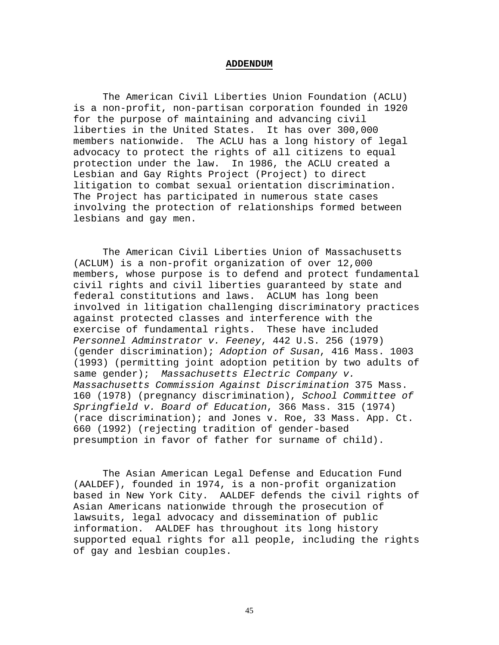#### **ADDENDUM**

The American Civil Liberties Union Foundation (ACLU) is a non-profit, non-partisan corporation founded in 1920 for the purpose of maintaining and advancing civil liberties in the United States. It has over 300,000 members nationwide. The ACLU has a long history of legal advocacy to protect the rights of all citizens to equal protection under the law. In 1986, the ACLU created a Lesbian and Gay Rights Project (Project) to direct litigation to combat sexual orientation discrimination. The Project has participated in numerous state cases involving the protection of relationships formed between lesbians and gay men.

The American Civil Liberties Union of Massachusetts (ACLUM) is a non-profit organization of over 12,000 members, whose purpose is to defend and protect fundamental civil rights and civil liberties guaranteed by state and federal constitutions and laws. ACLUM has long been involved in litigation challenging discriminatory practices against protected classes and interference with the exercise of fundamental rights. These have included *Personnel Adminstrator v. Feeney*, 442 U.S. 256 (1979) (gender discrimination); *Adoption of Susan*, 416 Mass. 1003 (1993) (permitting joint adoption petition by two adults of same gender); *Massachusetts Electric Company v. Massachusetts Commission Against Discrimination* 375 Mass. 160 (1978) (pregnancy discrimination), *School Committee of Springfield v. Board of Education*, 366 Mass. 315 (1974) (race discrimination); and Jones v. Roe, 33 Mass. App. Ct. 660 (1992) (rejecting tradition of gender-based presumption in favor of father for surname of child).

The Asian American Legal Defense and Education Fund (AALDEF), founded in 1974, is a non-profit organization based in New York City. AALDEF defends the civil rights of Asian Americans nationwide through the prosecution of lawsuits, legal advocacy and dissemination of public information. AALDEF has throughout its long history supported equal rights for all people, including the rights of gay and lesbian couples.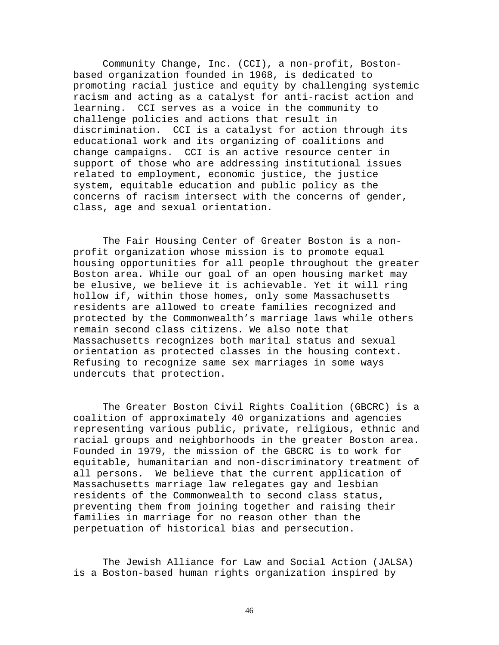Community Change, Inc. (CCI), a non-profit, Bostonbased organization founded in 1968, is dedicated to promoting racial justice and equity by challenging systemic racism and acting as a catalyst for anti-racist action and learning. CCI serves as a voice in the community to challenge policies and actions that result in discrimination. CCI is a catalyst for action through its educational work and its organizing of coalitions and change campaigns. CCI is an active resource center in support of those who are addressing institutional issues related to employment, economic justice, the justice system, equitable education and public policy as the concerns of racism intersect with the concerns of gender, class, age and sexual orientation.

The Fair Housing Center of Greater Boston is a nonprofit organization whose mission is to promote equal housing opportunities for all people throughout the greater Boston area. While our goal of an open housing market may be elusive, we believe it is achievable. Yet it will ring hollow if, within those homes, only some Massachusetts residents are allowed to create families recognized and protected by the Commonwealth's marriage laws while others remain second class citizens. We also note that Massachusetts recognizes both marital status and sexual orientation as protected classes in the housing context. Refusing to recognize same sex marriages in some ways undercuts that protection.

The Greater Boston Civil Rights Coalition (GBCRC) is a coalition of approximately 40 organizations and agencies representing various public, private, religious, ethnic and racial groups and neighborhoods in the greater Boston area. Founded in 1979, the mission of the GBCRC is to work for equitable, humanitarian and non-discriminatory treatment of all persons. We believe that the current application of Massachusetts marriage law relegates gay and lesbian residents of the Commonwealth to second class status, preventing them from joining together and raising their families in marriage for no reason other than the perpetuation of historical bias and persecution.

The Jewish Alliance for Law and Social Action (JALSA) is a Boston-based human rights organization inspired by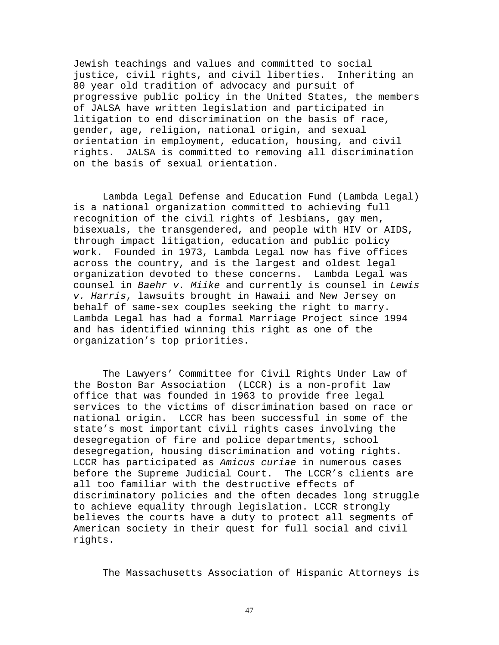Jewish teachings and values and committed to social justice, civil rights, and civil liberties. Inheriting an 80 year old tradition of advocacy and pursuit of progressive public policy in the United States, the members of JALSA have written legislation and participated in litigation to end discrimination on the basis of race, gender, age, religion, national origin, and sexual orientation in employment, education, housing, and civil rights. JALSA is committed to removing all discrimination on the basis of sexual orientation.

Lambda Legal Defense and Education Fund (Lambda Legal) is a national organization committed to achieving full recognition of the civil rights of lesbians, gay men, bisexuals, the transgendered, and people with HIV or AIDS, through impact litigation, education and public policy work. Founded in 1973, Lambda Legal now has five offices across the country, and is the largest and oldest legal organization devoted to these concerns. Lambda Legal was counsel in *Baehr v. Miike* and currently is counsel in *Lewis v. Harris*, lawsuits brought in Hawaii and New Jersey on behalf of same-sex couples seeking the right to marry. Lambda Legal has had a formal Marriage Project since 1994 and has identified winning this right as one of the organization's top priorities.

The Lawyers' Committee for Civil Rights Under Law of the Boston Bar Association (LCCR) is a non-profit law office that was founded in 1963 to provide free legal services to the victims of discrimination based on race or national origin. LCCR has been successful in some of the state's most important civil rights cases involving the desegregation of fire and police departments, school desegregation, housing discrimination and voting rights. LCCR has participated as *Amicus curiae* in numerous cases before the Supreme Judicial Court. The LCCR's clients are all too familiar with the destructive effects of discriminatory policies and the often decades long struggle to achieve equality through legislation. LCCR strongly believes the courts have a duty to protect all segments of American society in their quest for full social and civil rights.

The Massachusetts Association of Hispanic Attorneys is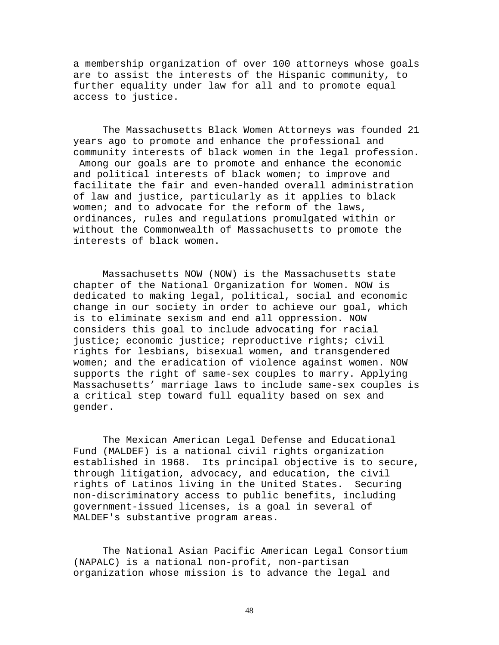a membership organization of over 100 attorneys whose goals are to assist the interests of the Hispanic community, to further equality under law for all and to promote equal access to justice.

The Massachusetts Black Women Attorneys was founded 21 years ago to promote and enhance the professional and community interests of black women in the legal profession. Among our goals are to promote and enhance the economic and political interests of black women; to improve and facilitate the fair and even-handed overall administration of law and justice, particularly as it applies to black women; and to advocate for the reform of the laws, ordinances, rules and regulations promulgated within or without the Commonwealth of Massachusetts to promote the interests of black women.

Massachusetts NOW (NOW) is the Massachusetts state chapter of the National Organization for Women. NOW is dedicated to making legal, political, social and economic change in our society in order to achieve our goal, which is to eliminate sexism and end all oppression. NOW considers this goal to include advocating for racial justice; economic justice; reproductive rights; civil rights for lesbians, bisexual women, and transgendered women; and the eradication of violence against women. NOW supports the right of same-sex couples to marry. Applying Massachusetts' marriage laws to include same-sex couples is a critical step toward full equality based on sex and gender.

The Mexican American Legal Defense and Educational Fund (MALDEF) is a national civil rights organization established in 1968. Its principal objective is to secure, through litigation, advocacy, and education, the civil rights of Latinos living in the United States. Securing non-discriminatory access to public benefits, including government-issued licenses, is a goal in several of MALDEF's substantive program areas.

The National Asian Pacific American Legal Consortium (NAPALC) is a national non-profit, non-partisan organization whose mission is to advance the legal and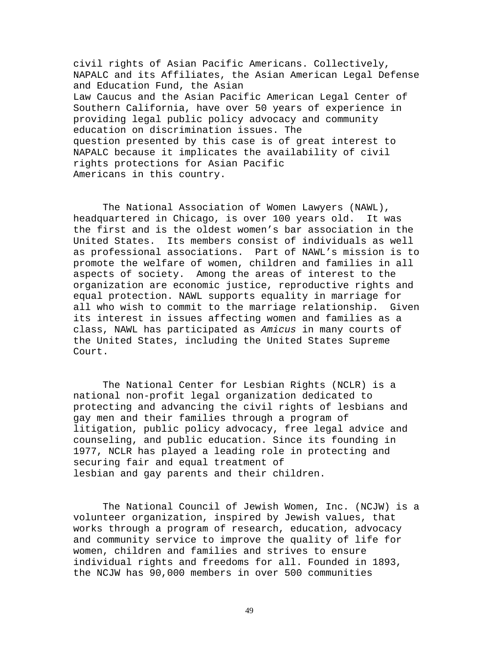civil rights of Asian Pacific Americans. Collectively, NAPALC and its Affiliates, the Asian American Legal Defense and Education Fund, the Asian Law Caucus and the Asian Pacific American Legal Center of Southern California, have over 50 years of experience in providing legal public policy advocacy and community education on discrimination issues. The question presented by this case is of great interest to NAPALC because it implicates the availability of civil rights protections for Asian Pacific Americans in this country.

The National Association of Women Lawyers (NAWL), headquartered in Chicago, is over 100 years old. It was the first and is the oldest women's bar association in the United States. Its members consist of individuals as well as professional associations. Part of NAWL's mission is to promote the welfare of women, children and families in all aspects of society. Among the areas of interest to the organization are economic justice, reproductive rights and equal protection. NAWL supports equality in marriage for all who wish to commit to the marriage relationship. Given its interest in issues affecting women and families as a class, NAWL has participated as *Amicus* in many courts of the United States, including the United States Supreme Court.

The National Center for Lesbian Rights (NCLR) is a national non-profit legal organization dedicated to protecting and advancing the civil rights of lesbians and gay men and their families through a program of litigation, public policy advocacy, free legal advice and counseling, and public education. Since its founding in 1977, NCLR has played a leading role in protecting and securing fair and equal treatment of lesbian and gay parents and their children.

The National Council of Jewish Women, Inc. (NCJW) is a volunteer organization, inspired by Jewish values, that works through a program of research, education, advocacy and community service to improve the quality of life for women, children and families and strives to ensure individual rights and freedoms for all. Founded in 1893, the NCJW has 90,000 members in over 500 communities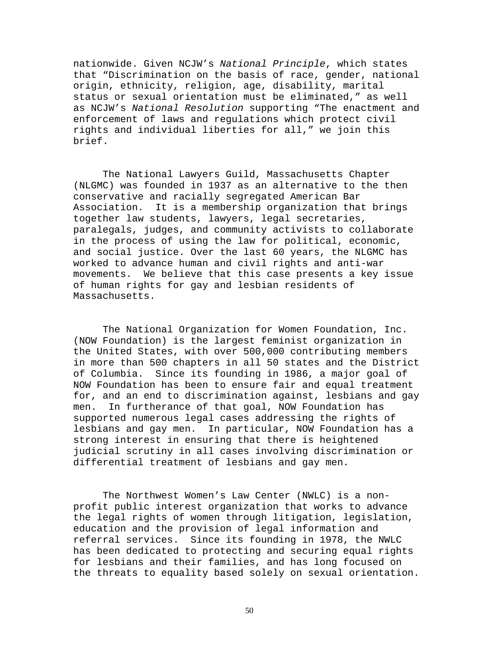nationwide. Given NCJW's *National Principle*, which states that "Discrimination on the basis of race, gender, national origin, ethnicity, religion, age, disability, marital status or sexual orientation must be eliminated," as well as NCJW's *National Resolution* supporting "The enactment and enforcement of laws and regulations which protect civil rights and individual liberties for all," we join this brief.

The National Lawyers Guild, Massachusetts Chapter (NLGMC) was founded in 1937 as an alternative to the then conservative and racially segregated American Bar Association. It is a membership organization that brings together law students, lawyers, legal secretaries, paralegals, judges, and community activists to collaborate in the process of using the law for political, economic, and social justice. Over the last 60 years, the NLGMC has worked to advance human and civil rights and anti-war movements. We believe that this case presents a key issue of human rights for gay and lesbian residents of Massachusetts.

The National Organization for Women Foundation, Inc. (NOW Foundation) is the largest feminist organization in the United States, with over 500,000 contributing members in more than 500 chapters in all 50 states and the District of Columbia. Since its founding in 1986, a major goal of NOW Foundation has been to ensure fair and equal treatment for, and an end to discrimination against, lesbians and gay men. In furtherance of that goal, NOW Foundation has supported numerous legal cases addressing the rights of lesbians and gay men. In particular, NOW Foundation has a strong interest in ensuring that there is heightened judicial scrutiny in all cases involving discrimination or differential treatment of lesbians and gay men.

The Northwest Women's Law Center (NWLC) is a nonprofit public interest organization that works to advance the legal rights of women through litigation, legislation, education and the provision of legal information and referral services. Since its founding in 1978, the NWLC has been dedicated to protecting and securing equal rights for lesbians and their families, and has long focused on the threats to equality based solely on sexual orientation.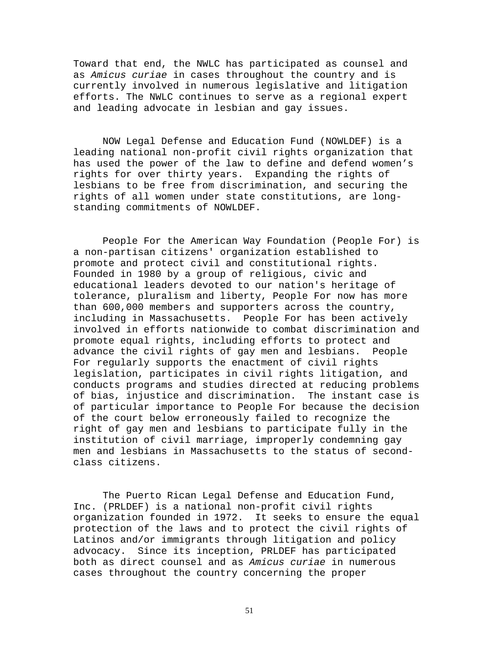Toward that end, the NWLC has participated as counsel and as *Amicus curiae* in cases throughout the country and is currently involved in numerous legislative and litigation efforts. The NWLC continues to serve as a regional expert and leading advocate in lesbian and gay issues.

NOW Legal Defense and Education Fund (NOWLDEF) is a leading national non-profit civil rights organization that has used the power of the law to define and defend women's rights for over thirty years. Expanding the rights of lesbians to be free from discrimination, and securing the rights of all women under state constitutions, are longstanding commitments of NOWLDEF.

People For the American Way Foundation (People For) is a non-partisan citizens' organization established to promote and protect civil and constitutional rights. Founded in 1980 by a group of religious, civic and educational leaders devoted to our nation's heritage of tolerance, pluralism and liberty, People For now has more than 600,000 members and supporters across the country, including in Massachusetts. People For has been actively involved in efforts nationwide to combat discrimination and promote equal rights, including efforts to protect and advance the civil rights of gay men and lesbians. People For regularly supports the enactment of civil rights legislation, participates in civil rights litigation, and conducts programs and studies directed at reducing problems of bias, injustice and discrimination. The instant case is of particular importance to People For because the decision of the court below erroneously failed to recognize the right of gay men and lesbians to participate fully in the institution of civil marriage, improperly condemning gay men and lesbians in Massachusetts to the status of secondclass citizens.

The Puerto Rican Legal Defense and Education Fund, Inc. (PRLDEF) is a national non-profit civil rights organization founded in 1972. It seeks to ensure the equal protection of the laws and to protect the civil rights of Latinos and/or immigrants through litigation and policy advocacy. Since its inception, PRLDEF has participated both as direct counsel and as *Amicus curiae* in numerous cases throughout the country concerning the proper